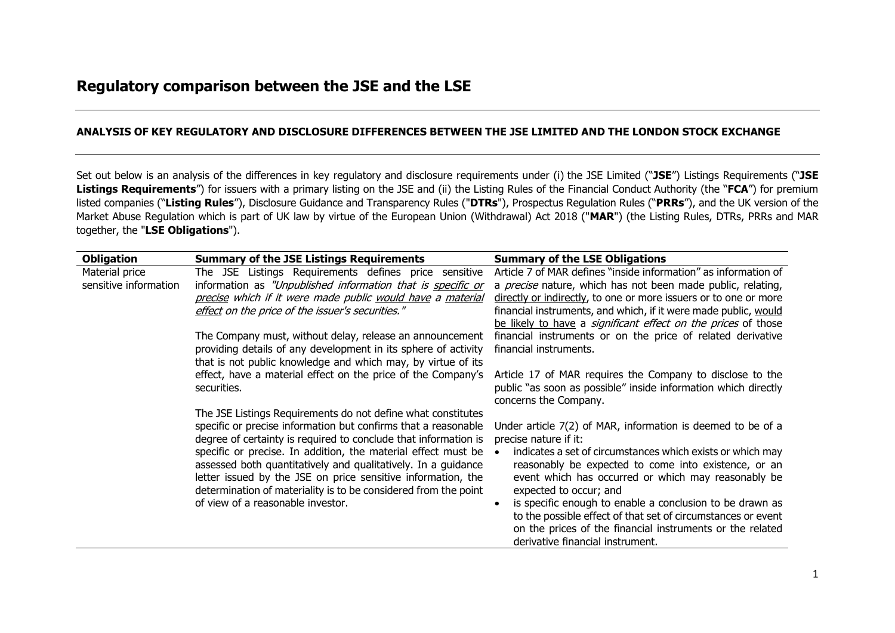## **ANALYSIS OF KEY REGULATORY AND DISCLOSURE DIFFERENCES BETWEEN THE JSE LIMITED AND THE LONDON STOCK EXCHANGE**

Set out below is an analysis of the differences in key regulatory and disclosure requirements under (i) the JSE Limited ("**JSE**") Listings Requirements ("**JSE Listings Requirements**") for issuers with a primary listing on the JSE and (ii) the Listing Rules of the Financial Conduct Authority (the "**FCA**") for premium listed companies ("**Listing Rules**"), Disclosure Guidance and Transparency Rules ("**DTRs**"), Prospectus Regulation Rules ("**PRRs**"), and the UK version of the Market Abuse Regulation which is part of UK law by virtue of the European Union (Withdrawal) Act 2018 ("**MAR**") (the Listing Rules, DTRs, PRRs and MAR together, the "**LSE Obligations**").

| <b>Obligation</b>     | <b>Summary of the JSE Listings Requirements</b>                                                                               | <b>Summary of the LSE Obligations</b>                                                                       |
|-----------------------|-------------------------------------------------------------------------------------------------------------------------------|-------------------------------------------------------------------------------------------------------------|
| Material price        | The JSE Listings Requirements defines price sensitive                                                                         | Article 7 of MAR defines "inside information" as information of                                             |
| sensitive information | information as "Unpublished information that is specific or                                                                   | a <i>precise</i> nature, which has not been made public, relating,                                          |
|                       | precise which if it were made public would have a material                                                                    | directly or indirectly, to one or more issuers or to one or more                                            |
|                       | effect on the price of the issuer's securities."                                                                              | financial instruments, and which, if it were made public, would                                             |
|                       |                                                                                                                               | be likely to have a significant effect on the prices of those                                               |
|                       | The Company must, without delay, release an announcement                                                                      | financial instruments or on the price of related derivative                                                 |
|                       | providing details of any development in its sphere of activity                                                                | financial instruments.                                                                                      |
|                       | that is not public knowledge and which may, by virtue of its                                                                  |                                                                                                             |
|                       | effect, have a material effect on the price of the Company's                                                                  | Article 17 of MAR requires the Company to disclose to the                                                   |
|                       | securities.                                                                                                                   | public "as soon as possible" inside information which directly                                              |
|                       |                                                                                                                               | concerns the Company.                                                                                       |
|                       | The JSE Listings Requirements do not define what constitutes                                                                  |                                                                                                             |
|                       | specific or precise information but confirms that a reasonable                                                                | Under article 7(2) of MAR, information is deemed to be of a                                                 |
|                       | degree of certainty is required to conclude that information is                                                               | precise nature if it:                                                                                       |
|                       | specific or precise. In addition, the material effect must be                                                                 | indicates a set of circumstances which exists or which may                                                  |
|                       | assessed both quantitatively and qualitatively. In a guidance<br>letter issued by the JSE on price sensitive information, the | reasonably be expected to come into existence, or an<br>event which has occurred or which may reasonably be |
|                       | determination of materiality is to be considered from the point                                                               | expected to occur; and                                                                                      |
|                       | of view of a reasonable investor.                                                                                             | is specific enough to enable a conclusion to be drawn as                                                    |
|                       |                                                                                                                               | to the possible effect of that set of circumstances or event                                                |
|                       |                                                                                                                               | on the prices of the financial instruments or the related                                                   |
|                       |                                                                                                                               | derivative financial instrument.                                                                            |
|                       |                                                                                                                               |                                                                                                             |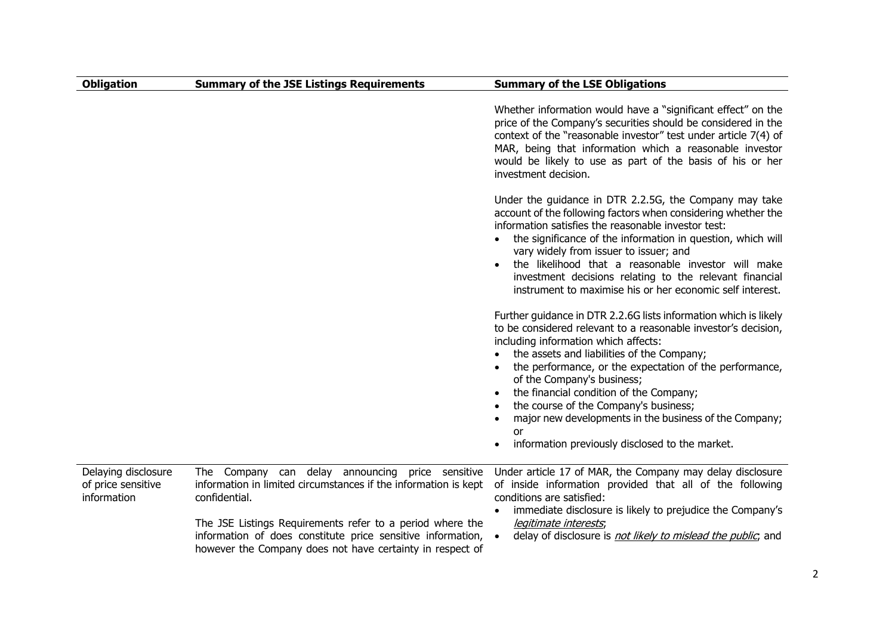| <b>Obligation</b>                                        | <b>Summary of the JSE Listings Requirements</b>                                                                                                                                                                                                                                                                               | <b>Summary of the LSE Obligations</b>                                                                                                                                                                                                                                                                                                                                                                                                                                                                                    |
|----------------------------------------------------------|-------------------------------------------------------------------------------------------------------------------------------------------------------------------------------------------------------------------------------------------------------------------------------------------------------------------------------|--------------------------------------------------------------------------------------------------------------------------------------------------------------------------------------------------------------------------------------------------------------------------------------------------------------------------------------------------------------------------------------------------------------------------------------------------------------------------------------------------------------------------|
|                                                          |                                                                                                                                                                                                                                                                                                                               | Whether information would have a "significant effect" on the<br>price of the Company's securities should be considered in the<br>context of the "reasonable investor" test under article 7(4) of<br>MAR, being that information which a reasonable investor<br>would be likely to use as part of the basis of his or her<br>investment decision.                                                                                                                                                                         |
|                                                          |                                                                                                                                                                                                                                                                                                                               | Under the guidance in DTR 2.2.5G, the Company may take<br>account of the following factors when considering whether the<br>information satisfies the reasonable investor test:<br>the significance of the information in question, which will<br>vary widely from issuer to issuer; and<br>the likelihood that a reasonable investor will make<br>investment decisions relating to the relevant financial<br>instrument to maximise his or her economic self interest.                                                   |
|                                                          |                                                                                                                                                                                                                                                                                                                               | Further guidance in DTR 2.2.6G lists information which is likely<br>to be considered relevant to a reasonable investor's decision,<br>including information which affects:<br>the assets and liabilities of the Company;<br>the performance, or the expectation of the performance,<br>of the Company's business;<br>the financial condition of the Company;<br>the course of the Company's business;<br>major new developments in the business of the Company;<br>or<br>information previously disclosed to the market. |
| Delaying disclosure<br>of price sensitive<br>information | The Company can delay announcing price sensitive<br>information in limited circumstances if the information is kept<br>confidential.<br>The JSE Listings Requirements refer to a period where the<br>information of does constitute price sensitive information,<br>however the Company does not have certainty in respect of | Under article 17 of MAR, the Company may delay disclosure<br>of inside information provided that all of the following<br>conditions are satisfied:<br>immediate disclosure is likely to prejudice the Company's<br>legitimate interests,<br>delay of disclosure is not likely to mislead the public, and<br>$\bullet$                                                                                                                                                                                                    |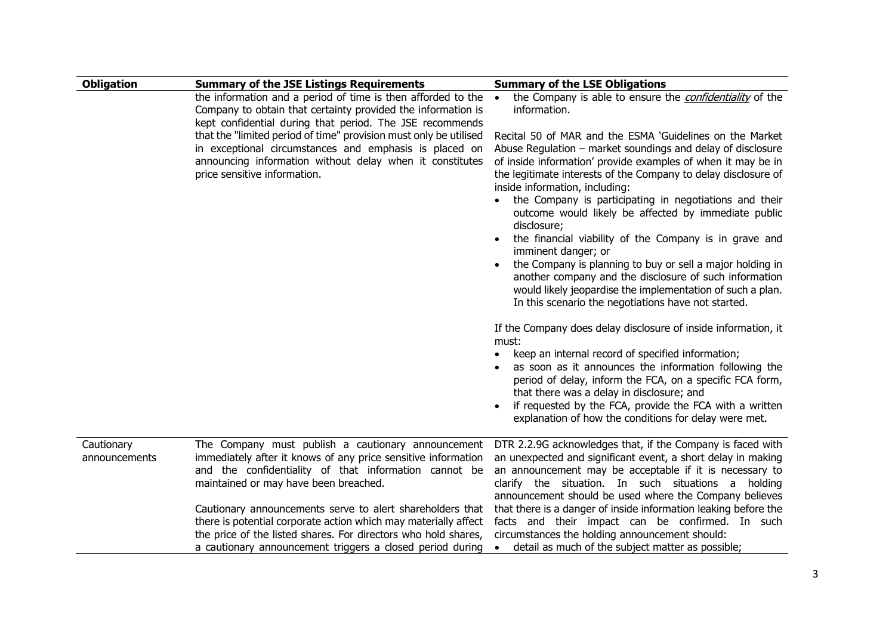| <b>Obligation</b> | <b>Summary of the JSE Listings Requirements</b>                                                                                                                                                                         | <b>Summary of the LSE Obligations</b>                                                                                                                                                                                                                                                                                                                                                                                                                                                                                                                                                                                                                                                                                                                     |
|-------------------|-------------------------------------------------------------------------------------------------------------------------------------------------------------------------------------------------------------------------|-----------------------------------------------------------------------------------------------------------------------------------------------------------------------------------------------------------------------------------------------------------------------------------------------------------------------------------------------------------------------------------------------------------------------------------------------------------------------------------------------------------------------------------------------------------------------------------------------------------------------------------------------------------------------------------------------------------------------------------------------------------|
|                   | the information and a period of time is then afforded to the<br>Company to obtain that certainty provided the information is<br>kept confidential during that period. The JSE recommends                                | the Company is able to ensure the <i>confidentiality</i> of the<br>$\bullet$<br>information.                                                                                                                                                                                                                                                                                                                                                                                                                                                                                                                                                                                                                                                              |
|                   | that the "limited period of time" provision must only be utilised<br>in exceptional circumstances and emphasis is placed on<br>announcing information without delay when it constitutes<br>price sensitive information. | Recital 50 of MAR and the ESMA 'Guidelines on the Market<br>Abuse Regulation - market soundings and delay of disclosure<br>of inside information' provide examples of when it may be in<br>the legitimate interests of the Company to delay disclosure of<br>inside information, including:<br>the Company is participating in negotiations and their<br>outcome would likely be affected by immediate public<br>disclosure;<br>the financial viability of the Company is in grave and<br>imminent danger; or<br>the Company is planning to buy or sell a major holding in<br>another company and the disclosure of such information<br>would likely jeopardise the implementation of such a plan.<br>In this scenario the negotiations have not started. |
|                   |                                                                                                                                                                                                                         | If the Company does delay disclosure of inside information, it<br>must:<br>keep an internal record of specified information;<br>$\bullet$<br>as soon as it announces the information following the<br>period of delay, inform the FCA, on a specific FCA form,<br>that there was a delay in disclosure; and<br>if requested by the FCA, provide the FCA with a written<br>explanation of how the conditions for delay were met.                                                                                                                                                                                                                                                                                                                           |
|                   |                                                                                                                                                                                                                         |                                                                                                                                                                                                                                                                                                                                                                                                                                                                                                                                                                                                                                                                                                                                                           |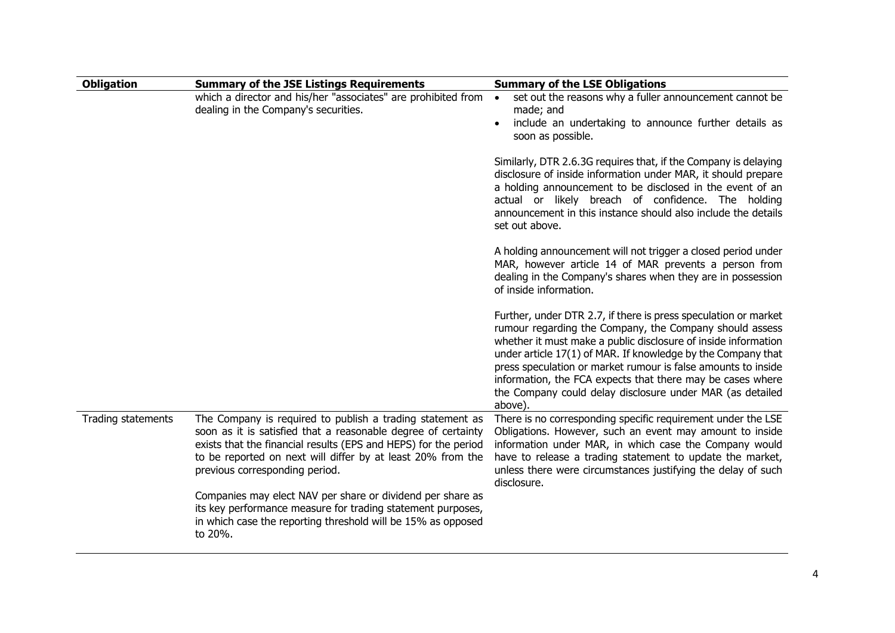| <b>Obligation</b>  | <b>Summary of the JSE Listings Requirements</b>                                                                                                                                                                                                                                                | <b>Summary of the LSE Obligations</b>                                                                                                                                                                                                                                                                                                                                                                                                                               |
|--------------------|------------------------------------------------------------------------------------------------------------------------------------------------------------------------------------------------------------------------------------------------------------------------------------------------|---------------------------------------------------------------------------------------------------------------------------------------------------------------------------------------------------------------------------------------------------------------------------------------------------------------------------------------------------------------------------------------------------------------------------------------------------------------------|
|                    | which a director and his/her "associates" are prohibited from<br>dealing in the Company's securities.                                                                                                                                                                                          | set out the reasons why a fuller announcement cannot be<br>$\bullet$<br>made; and<br>include an undertaking to announce further details as<br>soon as possible.                                                                                                                                                                                                                                                                                                     |
|                    |                                                                                                                                                                                                                                                                                                | Similarly, DTR 2.6.3G requires that, if the Company is delaying<br>disclosure of inside information under MAR, it should prepare<br>a holding announcement to be disclosed in the event of an<br>actual or likely breach of confidence. The holding<br>announcement in this instance should also include the details<br>set out above.                                                                                                                              |
|                    |                                                                                                                                                                                                                                                                                                | A holding announcement will not trigger a closed period under<br>MAR, however article 14 of MAR prevents a person from<br>dealing in the Company's shares when they are in possession<br>of inside information.                                                                                                                                                                                                                                                     |
|                    |                                                                                                                                                                                                                                                                                                | Further, under DTR 2.7, if there is press speculation or market<br>rumour regarding the Company, the Company should assess<br>whether it must make a public disclosure of inside information<br>under article 17(1) of MAR. If knowledge by the Company that<br>press speculation or market rumour is false amounts to inside<br>information, the FCA expects that there may be cases where<br>the Company could delay disclosure under MAR (as detailed<br>above). |
| Trading statements | The Company is required to publish a trading statement as<br>soon as it is satisfied that a reasonable degree of certainty<br>exists that the financial results (EPS and HEPS) for the period<br>to be reported on next will differ by at least 20% from the<br>previous corresponding period. | There is no corresponding specific requirement under the LSE<br>Obligations. However, such an event may amount to inside<br>information under MAR, in which case the Company would<br>have to release a trading statement to update the market,<br>unless there were circumstances justifying the delay of such<br>disclosure.                                                                                                                                      |
|                    | Companies may elect NAV per share or dividend per share as<br>its key performance measure for trading statement purposes,<br>in which case the reporting threshold will be 15% as opposed<br>to 20%.                                                                                           |                                                                                                                                                                                                                                                                                                                                                                                                                                                                     |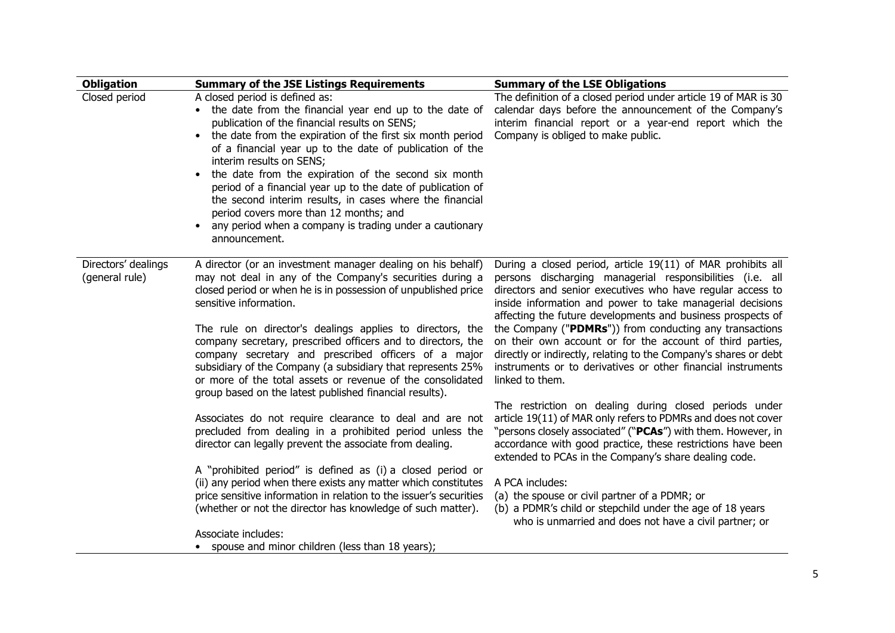| <b>Obligation</b>                     | <b>Summary of the JSE Listings Requirements</b>                                                                                                                                                                                                                                                                                                                                                                                                                                                                                                                                                            | <b>Summary of the LSE Obligations</b>                                                                                                                                                                                                                                                                                                                                                                                                                                                                                                                                                             |
|---------------------------------------|------------------------------------------------------------------------------------------------------------------------------------------------------------------------------------------------------------------------------------------------------------------------------------------------------------------------------------------------------------------------------------------------------------------------------------------------------------------------------------------------------------------------------------------------------------------------------------------------------------|---------------------------------------------------------------------------------------------------------------------------------------------------------------------------------------------------------------------------------------------------------------------------------------------------------------------------------------------------------------------------------------------------------------------------------------------------------------------------------------------------------------------------------------------------------------------------------------------------|
| Closed period                         | A closed period is defined as:<br>• the date from the financial year end up to the date of<br>publication of the financial results on SENS;<br>the date from the expiration of the first six month period<br>of a financial year up to the date of publication of the<br>interim results on SENS;<br>the date from the expiration of the second six month<br>period of a financial year up to the date of publication of<br>the second interim results, in cases where the financial<br>period covers more than 12 months; and<br>any period when a company is trading under a cautionary<br>announcement. | The definition of a closed period under article 19 of MAR is 30<br>calendar days before the announcement of the Company's<br>interim financial report or a year-end report which the<br>Company is obliged to make public.                                                                                                                                                                                                                                                                                                                                                                        |
| Directors' dealings<br>(general rule) | A director (or an investment manager dealing on his behalf)<br>may not deal in any of the Company's securities during a<br>closed period or when he is in possession of unpublished price<br>sensitive information.<br>The rule on director's dealings applies to directors, the<br>company secretary, prescribed officers and to directors, the<br>company secretary and prescribed officers of a major<br>subsidiary of the Company (a subsidiary that represents 25%<br>or more of the total assets or revenue of the consolidated<br>group based on the latest published financial results).           | During a closed period, article 19(11) of MAR prohibits all<br>persons discharging managerial responsibilities (i.e. all<br>directors and senior executives who have regular access to<br>inside information and power to take managerial decisions<br>affecting the future developments and business prospects of<br>the Company ("PDMRs")) from conducting any transactions<br>on their own account or for the account of third parties,<br>directly or indirectly, relating to the Company's shares or debt<br>instruments or to derivatives or other financial instruments<br>linked to them. |
|                                       | Associates do not require clearance to deal and are not<br>precluded from dealing in a prohibited period unless the<br>director can legally prevent the associate from dealing.                                                                                                                                                                                                                                                                                                                                                                                                                            | The restriction on dealing during closed periods under<br>article 19(11) of MAR only refers to PDMRs and does not cover<br>"persons closely associated" ("PCAs") with them. However, in<br>accordance with good practice, these restrictions have been<br>extended to PCAs in the Company's share dealing code.                                                                                                                                                                                                                                                                                   |
|                                       | A "prohibited period" is defined as (i) a closed period or<br>(ii) any period when there exists any matter which constitutes<br>price sensitive information in relation to the issuer's securities<br>(whether or not the director has knowledge of such matter).                                                                                                                                                                                                                                                                                                                                          | A PCA includes:<br>(a) the spouse or civil partner of a PDMR; or<br>(b) a PDMR's child or stepchild under the age of 18 years<br>who is unmarried and does not have a civil partner; or                                                                                                                                                                                                                                                                                                                                                                                                           |
|                                       | Associate includes:<br>• spouse and minor children (less than 18 years);                                                                                                                                                                                                                                                                                                                                                                                                                                                                                                                                   |                                                                                                                                                                                                                                                                                                                                                                                                                                                                                                                                                                                                   |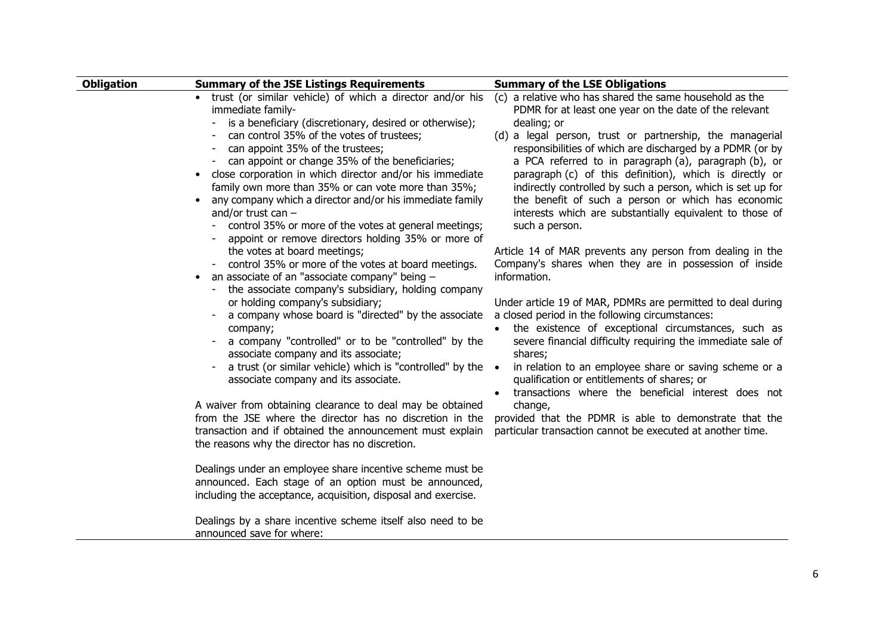| <b>Obligation</b> | <b>Summary of the JSE Listings Requirements</b>                                                                                                                                                                                                                                                                                                                                                                                                                                                                                                                                                       | <b>Summary of the LSE Obligations</b>                                                                                                                                                                                                                                                                                                                                                                                                                                                                                                                                            |
|-------------------|-------------------------------------------------------------------------------------------------------------------------------------------------------------------------------------------------------------------------------------------------------------------------------------------------------------------------------------------------------------------------------------------------------------------------------------------------------------------------------------------------------------------------------------------------------------------------------------------------------|----------------------------------------------------------------------------------------------------------------------------------------------------------------------------------------------------------------------------------------------------------------------------------------------------------------------------------------------------------------------------------------------------------------------------------------------------------------------------------------------------------------------------------------------------------------------------------|
|                   | • trust (or similar vehicle) of which a director and/or his<br>immediate family-<br>is a beneficiary (discretionary, desired or otherwise);<br>can control 35% of the votes of trustees;<br>can appoint 35% of the trustees;<br>can appoint or change 35% of the beneficiaries;<br>close corporation in which director and/or his immediate<br>family own more than 35% or can vote more than 35%;<br>any company which a director and/or his immediate family<br>and/or trust can $-$<br>control 35% or more of the votes at general meetings;<br>appoint or remove directors holding 35% or more of | (c) a relative who has shared the same household as the<br>PDMR for at least one year on the date of the relevant<br>dealing; or<br>(d) a legal person, trust or partnership, the managerial<br>responsibilities of which are discharged by a PDMR (or by<br>a PCA referred to in paragraph (a), paragraph (b), or<br>paragraph (c) of this definition), which is directly or<br>indirectly controlled by such a person, which is set up for<br>the benefit of such a person or which has economic<br>interests which are substantially equivalent to those of<br>such a person. |
|                   | the votes at board meetings;<br>control 35% or more of the votes at board meetings.<br>an associate of an "associate company" being -<br>$\bullet$<br>the associate company's subsidiary, holding company                                                                                                                                                                                                                                                                                                                                                                                             | Article 14 of MAR prevents any person from dealing in the<br>Company's shares when they are in possession of inside<br>information.                                                                                                                                                                                                                                                                                                                                                                                                                                              |
|                   | or holding company's subsidiary;<br>a company whose board is "directed" by the associate<br>company;<br>a company "controlled" or to be "controlled" by the<br>associate company and its associate;<br>a trust (or similar vehicle) which is "controlled" by the •<br>associate company and its associate.                                                                                                                                                                                                                                                                                            | Under article 19 of MAR, PDMRs are permitted to deal during<br>a closed period in the following circumstances:<br>the existence of exceptional circumstances, such as<br>severe financial difficulty requiring the immediate sale of<br>shares;<br>in relation to an employee share or saving scheme or a<br>qualification or entitlements of shares; or<br>transactions where the beneficial interest does not                                                                                                                                                                  |
|                   | A waiver from obtaining clearance to deal may be obtained<br>from the JSE where the director has no discretion in the<br>transaction and if obtained the announcement must explain<br>the reasons why the director has no discretion.                                                                                                                                                                                                                                                                                                                                                                 | change,<br>provided that the PDMR is able to demonstrate that the<br>particular transaction cannot be executed at another time.                                                                                                                                                                                                                                                                                                                                                                                                                                                  |
|                   | Dealings under an employee share incentive scheme must be<br>announced. Each stage of an option must be announced,<br>including the acceptance, acquisition, disposal and exercise.                                                                                                                                                                                                                                                                                                                                                                                                                   |                                                                                                                                                                                                                                                                                                                                                                                                                                                                                                                                                                                  |
|                   | Dealings by a share incentive scheme itself also need to be<br>announced save for where:                                                                                                                                                                                                                                                                                                                                                                                                                                                                                                              |                                                                                                                                                                                                                                                                                                                                                                                                                                                                                                                                                                                  |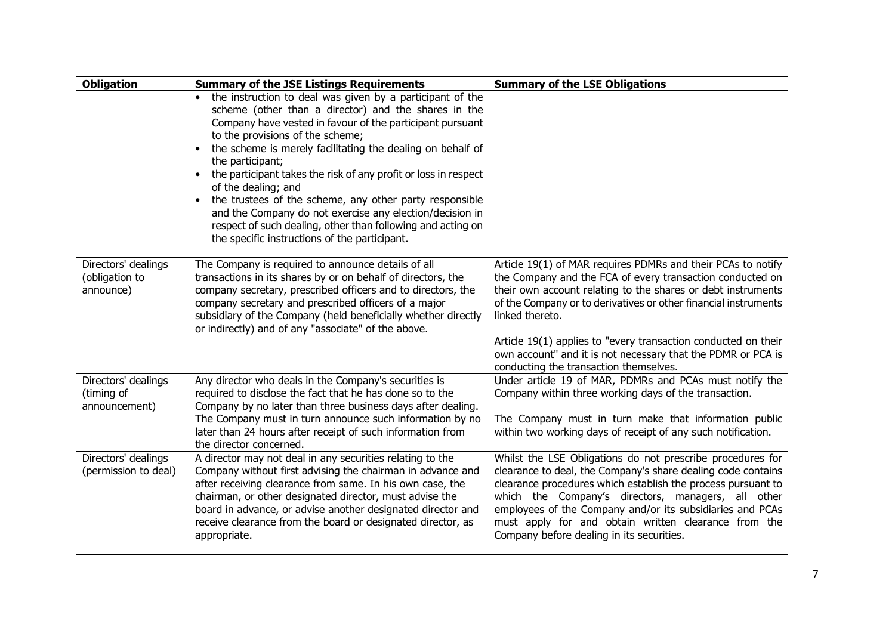| <b>Obligation</b>                                  | <b>Summary of the JSE Listings Requirements</b>                                                                                                                                                                                                                                                                                                                                                                                                                                                                                                                | <b>Summary of the LSE Obligations</b>                                                                                                                                                                                                                                                                                                                                                                              |
|----------------------------------------------------|----------------------------------------------------------------------------------------------------------------------------------------------------------------------------------------------------------------------------------------------------------------------------------------------------------------------------------------------------------------------------------------------------------------------------------------------------------------------------------------------------------------------------------------------------------------|--------------------------------------------------------------------------------------------------------------------------------------------------------------------------------------------------------------------------------------------------------------------------------------------------------------------------------------------------------------------------------------------------------------------|
|                                                    | • the instruction to deal was given by a participant of the<br>scheme (other than a director) and the shares in the<br>Company have vested in favour of the participant pursuant<br>to the provisions of the scheme;<br>the scheme is merely facilitating the dealing on behalf of<br>$\bullet$<br>the participant;<br>the participant takes the risk of any profit or loss in respect<br>$\bullet$<br>of the dealing; and<br>the trustees of the scheme, any other party responsible<br>$\bullet$<br>and the Company do not exercise any election/decision in |                                                                                                                                                                                                                                                                                                                                                                                                                    |
|                                                    | respect of such dealing, other than following and acting on<br>the specific instructions of the participant.                                                                                                                                                                                                                                                                                                                                                                                                                                                   |                                                                                                                                                                                                                                                                                                                                                                                                                    |
| Directors' dealings<br>(obligation to<br>announce) | The Company is required to announce details of all<br>transactions in its shares by or on behalf of directors, the<br>company secretary, prescribed officers and to directors, the<br>company secretary and prescribed officers of a major<br>subsidiary of the Company (held beneficially whether directly<br>or indirectly) and of any "associate" of the above.                                                                                                                                                                                             | Article 19(1) of MAR requires PDMRs and their PCAs to notify<br>the Company and the FCA of every transaction conducted on<br>their own account relating to the shares or debt instruments<br>of the Company or to derivatives or other financial instruments<br>linked thereto.                                                                                                                                    |
|                                                    |                                                                                                                                                                                                                                                                                                                                                                                                                                                                                                                                                                | Article 19(1) applies to "every transaction conducted on their<br>own account" and it is not necessary that the PDMR or PCA is<br>conducting the transaction themselves.                                                                                                                                                                                                                                           |
| Directors' dealings<br>(timing of<br>announcement) | Any director who deals in the Company's securities is<br>required to disclose the fact that he has done so to the<br>Company by no later than three business days after dealing.                                                                                                                                                                                                                                                                                                                                                                               | Under article 19 of MAR, PDMRs and PCAs must notify the<br>Company within three working days of the transaction.                                                                                                                                                                                                                                                                                                   |
|                                                    | The Company must in turn announce such information by no<br>later than 24 hours after receipt of such information from<br>the director concerned.                                                                                                                                                                                                                                                                                                                                                                                                              | The Company must in turn make that information public<br>within two working days of receipt of any such notification.                                                                                                                                                                                                                                                                                              |
| Directors' dealings<br>(permission to deal)        | A director may not deal in any securities relating to the<br>Company without first advising the chairman in advance and<br>after receiving clearance from same. In his own case, the<br>chairman, or other designated director, must advise the<br>board in advance, or advise another designated director and<br>receive clearance from the board or designated director, as<br>appropriate.                                                                                                                                                                  | Whilst the LSE Obligations do not prescribe procedures for<br>clearance to deal, the Company's share dealing code contains<br>clearance procedures which establish the process pursuant to<br>which the Company's directors, managers, all other<br>employees of the Company and/or its subsidiaries and PCAs<br>must apply for and obtain written clearance from the<br>Company before dealing in its securities. |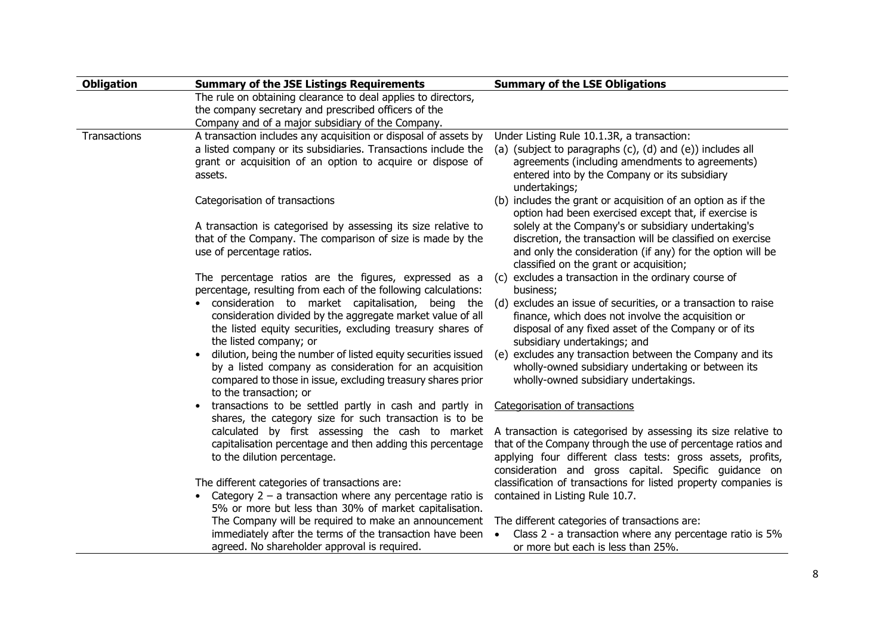| <b>Obligation</b> | <b>Summary of the JSE Listings Requirements</b>                                                                                                                                                                   | <b>Summary of the LSE Obligations</b>                                                                                                                                        |
|-------------------|-------------------------------------------------------------------------------------------------------------------------------------------------------------------------------------------------------------------|------------------------------------------------------------------------------------------------------------------------------------------------------------------------------|
|                   | The rule on obtaining clearance to deal applies to directors,                                                                                                                                                     |                                                                                                                                                                              |
|                   | the company secretary and prescribed officers of the                                                                                                                                                              |                                                                                                                                                                              |
|                   | Company and of a major subsidiary of the Company.                                                                                                                                                                 |                                                                                                                                                                              |
| Transactions      | A transaction includes any acquisition or disposal of assets by                                                                                                                                                   | Under Listing Rule 10.1.3R, a transaction:                                                                                                                                   |
|                   | a listed company or its subsidiaries. Transactions include the                                                                                                                                                    | (a) (subject to paragraphs (c), (d) and (e)) includes all                                                                                                                    |
|                   | grant or acquisition of an option to acquire or dispose of<br>assets.                                                                                                                                             | agreements (including amendments to agreements)<br>entered into by the Company or its subsidiary<br>undertakings;                                                            |
|                   | Categorisation of transactions                                                                                                                                                                                    | (b) includes the grant or acquisition of an option as if the                                                                                                                 |
|                   |                                                                                                                                                                                                                   | option had been exercised except that, if exercise is                                                                                                                        |
|                   | A transaction is categorised by assessing its size relative to                                                                                                                                                    | solely at the Company's or subsidiary undertaking's                                                                                                                          |
|                   | that of the Company. The comparison of size is made by the                                                                                                                                                        | discretion, the transaction will be classified on exercise                                                                                                                   |
|                   | use of percentage ratios.                                                                                                                                                                                         |                                                                                                                                                                              |
|                   |                                                                                                                                                                                                                   | and only the consideration (if any) for the option will be                                                                                                                   |
|                   |                                                                                                                                                                                                                   | classified on the grant or acquisition;                                                                                                                                      |
|                   | The percentage ratios are the figures, expressed as a                                                                                                                                                             | (c) excludes a transaction in the ordinary course of                                                                                                                         |
|                   | percentage, resulting from each of the following calculations:                                                                                                                                                    | business;                                                                                                                                                                    |
|                   | consideration to market capitalisation, being the<br>consideration divided by the aggregate market value of all<br>the listed equity securities, excluding treasury shares of                                     | (d) excludes an issue of securities, or a transaction to raise<br>finance, which does not involve the acquisition or<br>disposal of any fixed asset of the Company or of its |
|                   | the listed company; or                                                                                                                                                                                            | subsidiary undertakings; and                                                                                                                                                 |
|                   | dilution, being the number of listed equity securities issued<br>by a listed company as consideration for an acquisition<br>compared to those in issue, excluding treasury shares prior<br>to the transaction; or | (e) excludes any transaction between the Company and its<br>wholly-owned subsidiary undertaking or between its<br>wholly-owned subsidiary undertakings.                      |
|                   | transactions to be settled partly in cash and partly in                                                                                                                                                           | Categorisation of transactions                                                                                                                                               |
|                   | shares, the category size for such transaction is to be                                                                                                                                                           |                                                                                                                                                                              |
|                   | calculated by first assessing the cash to market                                                                                                                                                                  | A transaction is categorised by assessing its size relative to                                                                                                               |
|                   | capitalisation percentage and then adding this percentage                                                                                                                                                         | that of the Company through the use of percentage ratios and                                                                                                                 |
|                   | to the dilution percentage.                                                                                                                                                                                       | applying four different class tests: gross assets, profits,                                                                                                                  |
|                   |                                                                                                                                                                                                                   | consideration and gross capital. Specific guidance on                                                                                                                        |
|                   | The different categories of transactions are:                                                                                                                                                                     | classification of transactions for listed property companies is                                                                                                              |
|                   | • Category $2 - a$ transaction where any percentage ratio is                                                                                                                                                      | contained in Listing Rule 10.7.                                                                                                                                              |
|                   | 5% or more but less than 30% of market capitalisation.                                                                                                                                                            |                                                                                                                                                                              |
|                   | The Company will be required to make an announcement                                                                                                                                                              | The different categories of transactions are:                                                                                                                                |
|                   | immediately after the terms of the transaction have been                                                                                                                                                          | Class 2 - a transaction where any percentage ratio is 5%<br>$\bullet$                                                                                                        |
|                   | agreed. No shareholder approval is required.                                                                                                                                                                      | or more but each is less than 25%.                                                                                                                                           |
|                   |                                                                                                                                                                                                                   |                                                                                                                                                                              |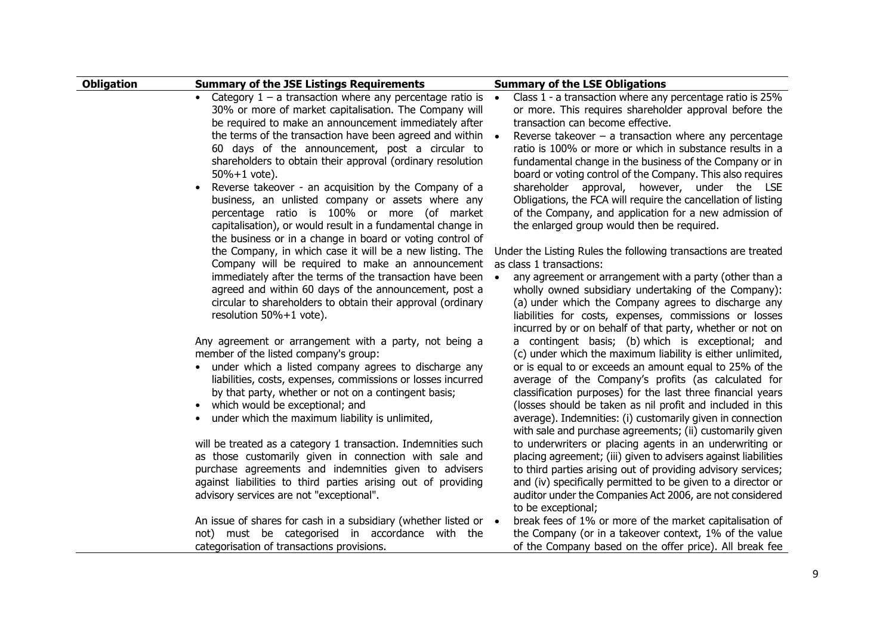| <b>Obligation</b> | <b>Summary of the JSE Listings Requirements</b>                                                                                                                                                                                                                                                                                                                                                                                          | <b>Summary of the LSE Obligations</b>                                                                                                                                                                                                                                                                                                                                                                                                                                                     |
|-------------------|------------------------------------------------------------------------------------------------------------------------------------------------------------------------------------------------------------------------------------------------------------------------------------------------------------------------------------------------------------------------------------------------------------------------------------------|-------------------------------------------------------------------------------------------------------------------------------------------------------------------------------------------------------------------------------------------------------------------------------------------------------------------------------------------------------------------------------------------------------------------------------------------------------------------------------------------|
|                   | Category $1 - a$ transaction where any percentage ratio is<br>$\bullet$<br>30% or more of market capitalisation. The Company will<br>be required to make an announcement immediately after<br>the terms of the transaction have been agreed and within                                                                                                                                                                                   | Class 1 - a transaction where any percentage ratio is 25%<br>$\bullet$<br>or more. This requires shareholder approval before the<br>transaction can become effective.<br>Reverse takeover $-$ a transaction where any percentage<br>$\bullet$                                                                                                                                                                                                                                             |
|                   | 60 days of the announcement, post a circular to<br>shareholders to obtain their approval (ordinary resolution<br>$50\% + 1$ vote).<br>Reverse takeover - an acquisition by the Company of a<br>$\bullet$<br>business, an unlisted company or assets where any<br>percentage ratio is 100% or more (of market<br>capitalisation), or would result in a fundamental change in<br>the business or in a change in board or voting control of | ratio is 100% or more or which in substance results in a<br>fundamental change in the business of the Company or in<br>board or voting control of the Company. This also requires<br>shareholder approval, however, under the LSE<br>Obligations, the FCA will require the cancellation of listing<br>of the Company, and application for a new admission of<br>the enlarged group would then be required.                                                                                |
|                   | the Company, in which case it will be a new listing. The<br>Company will be required to make an announcement                                                                                                                                                                                                                                                                                                                             | Under the Listing Rules the following transactions are treated<br>as class 1 transactions:                                                                                                                                                                                                                                                                                                                                                                                                |
|                   | immediately after the terms of the transaction have been<br>agreed and within 60 days of the announcement, post a<br>circular to shareholders to obtain their approval (ordinary<br>resolution 50%+1 vote).                                                                                                                                                                                                                              | any agreement or arrangement with a party (other than a<br>$\bullet$<br>wholly owned subsidiary undertaking of the Company):<br>(a) under which the Company agrees to discharge any<br>liabilities for costs, expenses, commissions or losses<br>incurred by or on behalf of that party, whether or not on                                                                                                                                                                                |
|                   | Any agreement or arrangement with a party, not being a<br>member of the listed company's group:<br>under which a listed company agrees to discharge any<br>liabilities, costs, expenses, commissions or losses incurred<br>by that party, whether or not on a contingent basis;<br>which would be exceptional; and<br>$\bullet$<br>under which the maximum liability is unlimited,<br>$\bullet$                                          | a contingent basis; (b) which is exceptional; and<br>(c) under which the maximum liability is either unlimited,<br>or is equal to or exceeds an amount equal to 25% of the<br>average of the Company's profits (as calculated for<br>classification purposes) for the last three financial years<br>(losses should be taken as nil profit and included in this<br>average). Indemnities: (i) customarily given in connection<br>with sale and purchase agreements; (ii) customarily given |
|                   | will be treated as a category 1 transaction. Indemnities such<br>as those customarily given in connection with sale and<br>purchase agreements and indemnities given to advisers<br>against liabilities to third parties arising out of providing<br>advisory services are not "exceptional".                                                                                                                                            | to underwriters or placing agents in an underwriting or<br>placing agreement; (iii) given to advisers against liabilities<br>to third parties arising out of providing advisory services;<br>and (iv) specifically permitted to be given to a director or<br>auditor under the Companies Act 2006, are not considered<br>to be exceptional;                                                                                                                                               |
|                   | An issue of shares for cash in a subsidiary (whether listed or •<br>not) must be categorised in accordance with the<br>categorisation of transactions provisions.                                                                                                                                                                                                                                                                        | break fees of 1% or more of the market capitalisation of<br>the Company (or in a takeover context, 1% of the value<br>of the Company based on the offer price). All break fee                                                                                                                                                                                                                                                                                                             |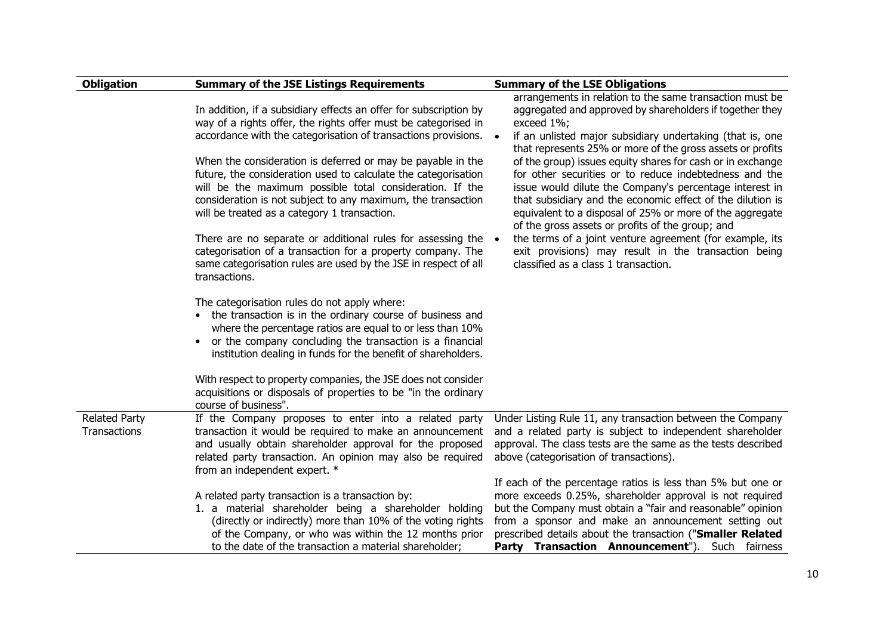| <b>Obligation</b>                    | <b>Summary of the JSE Listings Requirements</b>                                                                                                                                                                                                                                                                                                                                                                                                                                                                                                                                                                                                                                                                                      | <b>Summary of the LSE Obligations</b>                                                                                                                                                                                                                                                                                                                                                                                                                                                                                                                                                                                                                                                                                                                                                                                |
|--------------------------------------|--------------------------------------------------------------------------------------------------------------------------------------------------------------------------------------------------------------------------------------------------------------------------------------------------------------------------------------------------------------------------------------------------------------------------------------------------------------------------------------------------------------------------------------------------------------------------------------------------------------------------------------------------------------------------------------------------------------------------------------|----------------------------------------------------------------------------------------------------------------------------------------------------------------------------------------------------------------------------------------------------------------------------------------------------------------------------------------------------------------------------------------------------------------------------------------------------------------------------------------------------------------------------------------------------------------------------------------------------------------------------------------------------------------------------------------------------------------------------------------------------------------------------------------------------------------------|
|                                      | In addition, if a subsidiary effects an offer for subscription by<br>way of a rights offer, the rights offer must be categorised in<br>accordance with the categorisation of transactions provisions.<br>When the consideration is deferred or may be payable in the<br>future, the consideration used to calculate the categorisation<br>will be the maximum possible total consideration. If the<br>consideration is not subject to any maximum, the transaction<br>will be treated as a category 1 transaction.<br>There are no separate or additional rules for assessing the<br>categorisation of a transaction for a property company. The<br>same categorisation rules are used by the JSE in respect of all<br>transactions. | arrangements in relation to the same transaction must be<br>aggregated and approved by shareholders if together they<br>exceed 1%;<br>if an unlisted major subsidiary undertaking (that is, one<br>$\bullet$<br>that represents 25% or more of the gross assets or profits<br>of the group) issues equity shares for cash or in exchange<br>for other securities or to reduce indebtedness and the<br>issue would dilute the Company's percentage interest in<br>that subsidiary and the economic effect of the dilution is<br>equivalent to a disposal of 25% or more of the aggregate<br>of the gross assets or profits of the group; and<br>the terms of a joint venture agreement (for example, its<br>$\bullet$<br>exit provisions) may result in the transaction being<br>classified as a class 1 transaction. |
|                                      | The categorisation rules do not apply where:<br>the transaction is in the ordinary course of business and<br>$\bullet$<br>where the percentage ratios are equal to or less than 10%<br>or the company concluding the transaction is a financial<br>$\bullet$<br>institution dealing in funds for the benefit of shareholders.                                                                                                                                                                                                                                                                                                                                                                                                        |                                                                                                                                                                                                                                                                                                                                                                                                                                                                                                                                                                                                                                                                                                                                                                                                                      |
|                                      | With respect to property companies, the JSE does not consider<br>acquisitions or disposals of properties to be "in the ordinary<br>course of business".                                                                                                                                                                                                                                                                                                                                                                                                                                                                                                                                                                              |                                                                                                                                                                                                                                                                                                                                                                                                                                                                                                                                                                                                                                                                                                                                                                                                                      |
| <b>Related Party</b><br>Transactions | If the Company proposes to enter into a related party<br>transaction it would be required to make an announcement<br>and usually obtain shareholder approval for the proposed<br>related party transaction. An opinion may also be required<br>from an independent expert. *                                                                                                                                                                                                                                                                                                                                                                                                                                                         | Under Listing Rule 11, any transaction between the Company<br>and a related party is subject to independent shareholder<br>approval. The class tests are the same as the tests described<br>above (categorisation of transactions).                                                                                                                                                                                                                                                                                                                                                                                                                                                                                                                                                                                  |
|                                      | A related party transaction is a transaction by:<br>1. a material shareholder being a shareholder holding<br>(directly or indirectly) more than 10% of the voting rights<br>of the Company, or who was within the 12 months prior<br>to the date of the transaction a material shareholder;                                                                                                                                                                                                                                                                                                                                                                                                                                          | If each of the percentage ratios is less than 5% but one or<br>more exceeds 0.25%, shareholder approval is not required<br>but the Company must obtain a "fair and reasonable" opinion<br>from a sponsor and make an announcement setting out<br>prescribed details about the transaction ("Smaller Related<br>Party Transaction Announcement"). Such fairness                                                                                                                                                                                                                                                                                                                                                                                                                                                       |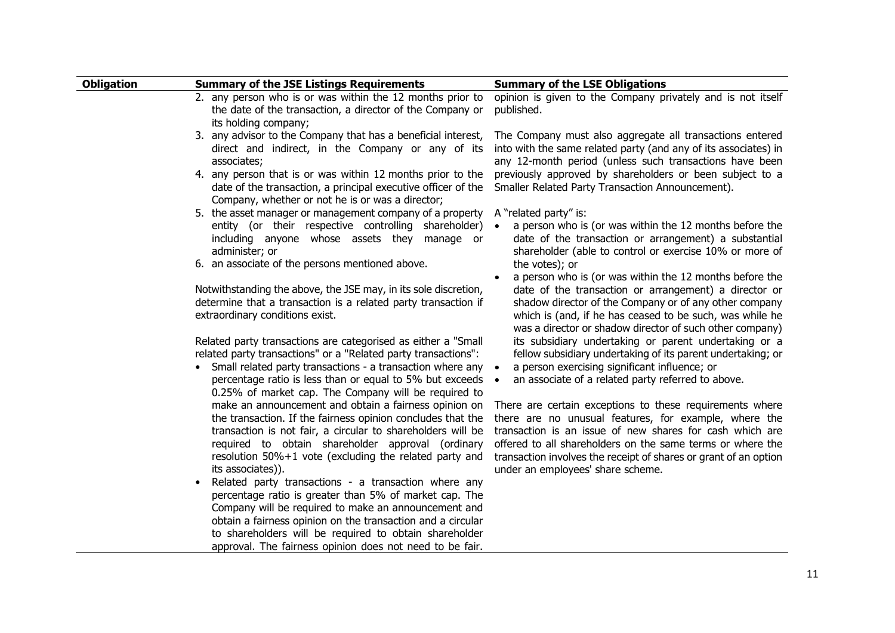| <b>Obligation</b> | <b>Summary of the JSE Listings Requirements</b>                                                                                                                                                                                                                                                                                                                                 | <b>Summary of the LSE Obligations</b>                                                                                                                                                                                                                                                                                                                |
|-------------------|---------------------------------------------------------------------------------------------------------------------------------------------------------------------------------------------------------------------------------------------------------------------------------------------------------------------------------------------------------------------------------|------------------------------------------------------------------------------------------------------------------------------------------------------------------------------------------------------------------------------------------------------------------------------------------------------------------------------------------------------|
|                   | 2. any person who is or was within the 12 months prior to<br>the date of the transaction, a director of the Company or<br>its holding company;                                                                                                                                                                                                                                  | opinion is given to the Company privately and is not itself<br>published.                                                                                                                                                                                                                                                                            |
|                   | 3. any advisor to the Company that has a beneficial interest,<br>direct and indirect, in the Company or any of its<br>associates;<br>4. any person that is or was within 12 months prior to the                                                                                                                                                                                 | The Company must also aggregate all transactions entered<br>into with the same related party (and any of its associates) in<br>any 12-month period (unless such transactions have been<br>previously approved by shareholders or been subject to a                                                                                                   |
|                   | date of the transaction, a principal executive officer of the<br>Company, whether or not he is or was a director;                                                                                                                                                                                                                                                               | Smaller Related Party Transaction Announcement).                                                                                                                                                                                                                                                                                                     |
|                   | 5. the asset manager or management company of a property<br>entity (or their respective controlling shareholder)<br>including anyone whose assets they manage or<br>administer; or                                                                                                                                                                                              | A "related party" is:<br>a person who is (or was within the 12 months before the<br>date of the transaction or arrangement) a substantial<br>shareholder (able to control or exercise 10% or more of                                                                                                                                                 |
|                   | 6. an associate of the persons mentioned above.                                                                                                                                                                                                                                                                                                                                 | the votes); or<br>a person who is (or was within the 12 months before the                                                                                                                                                                                                                                                                            |
|                   | Notwithstanding the above, the JSE may, in its sole discretion,<br>determine that a transaction is a related party transaction if<br>extraordinary conditions exist.                                                                                                                                                                                                            | date of the transaction or arrangement) a director or<br>shadow director of the Company or of any other company<br>which is (and, if he has ceased to be such, was while he<br>was a director or shadow director of such other company)                                                                                                              |
|                   | Related party transactions are categorised as either a "Small"<br>related party transactions" or a "Related party transactions":<br>Small related party transactions - a transaction where any<br>percentage ratio is less than or equal to 5% but exceeds                                                                                                                      | its subsidiary undertaking or parent undertaking or a<br>fellow subsidiary undertaking of its parent undertaking; or<br>a person exercising significant influence; or<br>an associate of a related party referred to above.<br>$\bullet$                                                                                                             |
|                   | 0.25% of market cap. The Company will be required to<br>make an announcement and obtain a fairness opinion on<br>the transaction. If the fairness opinion concludes that the<br>transaction is not fair, a circular to shareholders will be<br>required to obtain shareholder approval (ordinary<br>resolution 50%+1 vote (excluding the related party and<br>its associates)). | There are certain exceptions to these requirements where<br>there are no unusual features, for example, where the<br>transaction is an issue of new shares for cash which are<br>offered to all shareholders on the same terms or where the<br>transaction involves the receipt of shares or grant of an option<br>under an employees' share scheme. |
|                   | Related party transactions - a transaction where any<br>percentage ratio is greater than 5% of market cap. The<br>Company will be required to make an announcement and<br>obtain a fairness opinion on the transaction and a circular<br>to shareholders will be required to obtain shareholder<br>approval. The fairness opinion does not need to be fair.                     |                                                                                                                                                                                                                                                                                                                                                      |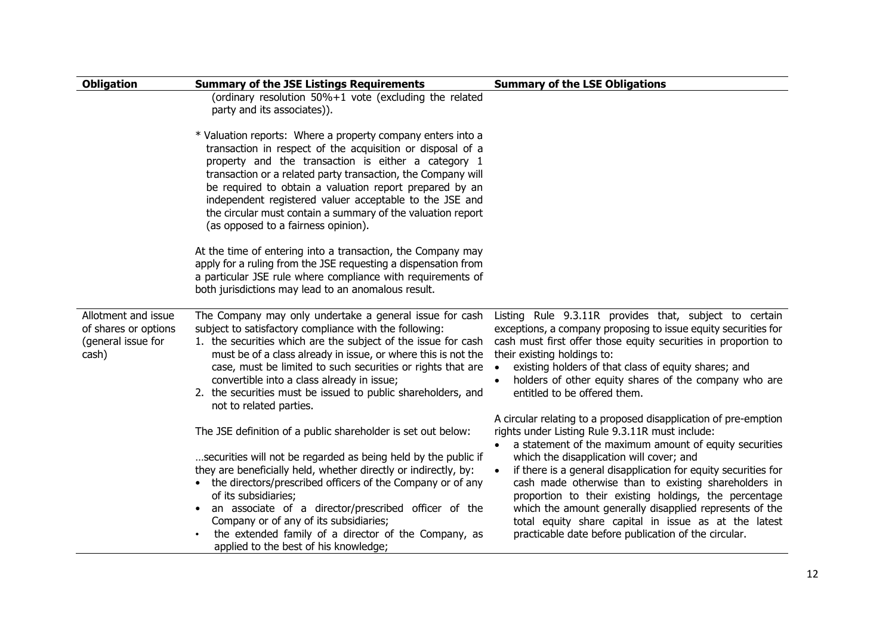| <b>Obligation</b>                                                          | <b>Summary of the JSE Listings Requirements</b>                                                                                                                                                                                                                                                                                                                                                                                                                                              | <b>Summary of the LSE Obligations</b>                                                                                                                                                                                                                                                                                                                                                                                                                                                                                                         |
|----------------------------------------------------------------------------|----------------------------------------------------------------------------------------------------------------------------------------------------------------------------------------------------------------------------------------------------------------------------------------------------------------------------------------------------------------------------------------------------------------------------------------------------------------------------------------------|-----------------------------------------------------------------------------------------------------------------------------------------------------------------------------------------------------------------------------------------------------------------------------------------------------------------------------------------------------------------------------------------------------------------------------------------------------------------------------------------------------------------------------------------------|
|                                                                            | (ordinary resolution 50%+1 vote (excluding the related<br>party and its associates)).                                                                                                                                                                                                                                                                                                                                                                                                        |                                                                                                                                                                                                                                                                                                                                                                                                                                                                                                                                               |
|                                                                            | * Valuation reports: Where a property company enters into a<br>transaction in respect of the acquisition or disposal of a<br>property and the transaction is either a category 1<br>transaction or a related party transaction, the Company will<br>be required to obtain a valuation report prepared by an<br>independent registered valuer acceptable to the JSE and<br>the circular must contain a summary of the valuation report<br>(as opposed to a fairness opinion).                 |                                                                                                                                                                                                                                                                                                                                                                                                                                                                                                                                               |
|                                                                            | At the time of entering into a transaction, the Company may<br>apply for a ruling from the JSE requesting a dispensation from<br>a particular JSE rule where compliance with requirements of<br>both jurisdictions may lead to an anomalous result.                                                                                                                                                                                                                                          |                                                                                                                                                                                                                                                                                                                                                                                                                                                                                                                                               |
| Allotment and issue<br>of shares or options<br>(general issue for<br>cash) | The Company may only undertake a general issue for cash<br>subject to satisfactory compliance with the following:<br>1. the securities which are the subject of the issue for cash<br>must be of a class already in issue, or where this is not the<br>case, must be limited to such securities or rights that are<br>convertible into a class already in issue;<br>2. the securities must be issued to public shareholders, and<br>not to related parties.                                  | Listing Rule 9.3.11R provides that, subject to certain<br>exceptions, a company proposing to issue equity securities for<br>cash must first offer those equity securities in proportion to<br>their existing holdings to:<br>existing holders of that class of equity shares; and<br>$\bullet$<br>holders of other equity shares of the company who are<br>$\bullet$<br>entitled to be offered them.<br>A circular relating to a proposed disapplication of pre-emption                                                                       |
|                                                                            | The JSE definition of a public shareholder is set out below:<br>securities will not be regarded as being held by the public if<br>they are beneficially held, whether directly or indirectly, by:<br>• the directors/prescribed officers of the Company or of any<br>of its subsidiaries;<br>an associate of a director/prescribed officer of the<br>Company or of any of its subsidiaries;<br>the extended family of a director of the Company, as<br>applied to the best of his knowledge; | rights under Listing Rule 9.3.11R must include:<br>a statement of the maximum amount of equity securities<br>$\bullet$<br>which the disapplication will cover; and<br>if there is a general disapplication for equity securities for<br>$\bullet$<br>cash made otherwise than to existing shareholders in<br>proportion to their existing holdings, the percentage<br>which the amount generally disapplied represents of the<br>total equity share capital in issue as at the latest<br>practicable date before publication of the circular. |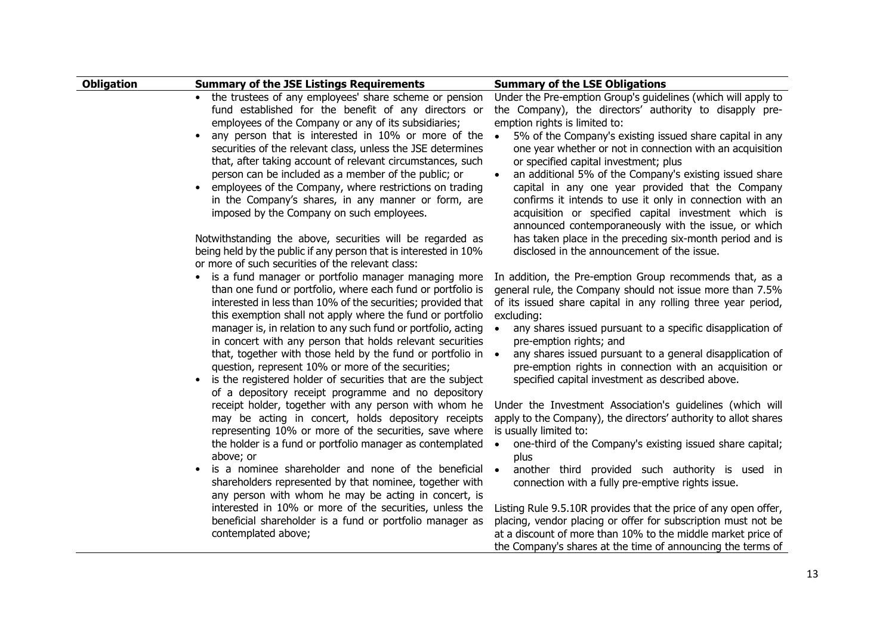| <b>Obligation</b> | <b>Summary of the JSE Listings Requirements</b>                                                                                                                                                                                                   | <b>Summary of the LSE Obligations</b>                                                                                                                                                                                                                                                    |
|-------------------|---------------------------------------------------------------------------------------------------------------------------------------------------------------------------------------------------------------------------------------------------|------------------------------------------------------------------------------------------------------------------------------------------------------------------------------------------------------------------------------------------------------------------------------------------|
|                   | the trustees of any employees' share scheme or pension<br>fund established for the benefit of any directors or<br>employees of the Company or any of its subsidiaries;                                                                            | Under the Pre-emption Group's guidelines (which will apply to<br>the Company), the directors' authority to disapply pre-                                                                                                                                                                 |
|                   | any person that is interested in 10% or more of the<br>securities of the relevant class, unless the JSE determines<br>that, after taking account of relevant circumstances, such                                                                  | emption rights is limited to:<br>5% of the Company's existing issued share capital in any<br>$\bullet$<br>one year whether or not in connection with an acquisition<br>or specified capital investment; plus                                                                             |
|                   | person can be included as a member of the public; or<br>employees of the Company, where restrictions on trading<br>in the Company's shares, in any manner or form, are<br>imposed by the Company on such employees.                               | an additional 5% of the Company's existing issued share<br>capital in any one year provided that the Company<br>confirms it intends to use it only in connection with an<br>acquisition or specified capital investment which is<br>announced contemporaneously with the issue, or which |
|                   | Notwithstanding the above, securities will be regarded as<br>being held by the public if any person that is interested in 10%<br>or more of such securities of the relevant class:                                                                | has taken place in the preceding six-month period and is<br>disclosed in the announcement of the issue.                                                                                                                                                                                  |
|                   | is a fund manager or portfolio manager managing more<br>than one fund or portfolio, where each fund or portfolio is<br>interested in less than 10% of the securities; provided that<br>this exemption shall not apply where the fund or portfolio | In addition, the Pre-emption Group recommends that, as a<br>general rule, the Company should not issue more than 7.5%<br>of its issued share capital in any rolling three year period,<br>excluding:                                                                                     |
|                   | manager is, in relation to any such fund or portfolio, acting<br>in concert with any person that holds relevant securities                                                                                                                        | any shares issued pursuant to a specific disapplication of<br>$\bullet$<br>pre-emption rights; and                                                                                                                                                                                       |
|                   | that, together with those held by the fund or portfolio in .<br>question, represent 10% or more of the securities;<br>is the registered holder of securities that are the subject<br>of a depository receipt programme and no depository          | any shares issued pursuant to a general disapplication of<br>pre-emption rights in connection with an acquisition or<br>specified capital investment as described above.                                                                                                                 |
|                   | receipt holder, together with any person with whom he<br>may be acting in concert, holds depository receipts<br>representing 10% or more of the securities, save where                                                                            | Under the Investment Association's guidelines (which will<br>apply to the Company), the directors' authority to allot shares<br>is usually limited to:                                                                                                                                   |
|                   | the holder is a fund or portfolio manager as contemplated<br>above; or                                                                                                                                                                            | one-third of the Company's existing issued share capital;<br>$\bullet$<br>plus                                                                                                                                                                                                           |
| $\bullet$         | is a nominee shareholder and none of the beneficial<br>shareholders represented by that nominee, together with<br>any person with whom he may be acting in concert, is                                                                            | another third provided such authority is used in<br>$\bullet$<br>connection with a fully pre-emptive rights issue.                                                                                                                                                                       |
|                   | interested in 10% or more of the securities, unless the<br>beneficial shareholder is a fund or portfolio manager as<br>contemplated above;                                                                                                        | Listing Rule 9.5.10R provides that the price of any open offer,<br>placing, vendor placing or offer for subscription must not be<br>at a discount of more than 10% to the middle market price of<br>the Company's shares at the time of announcing the terms of                          |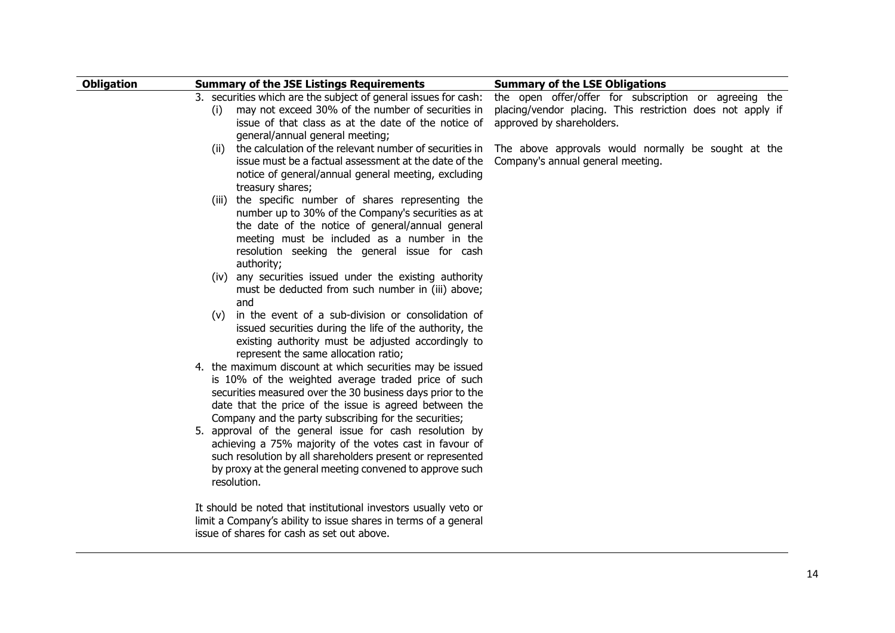| <b>Obligation</b> | <b>Summary of the JSE Listings Requirements</b>                                                                                                                                                                                                                                                   | <b>Summary of the LSE Obligations</b>                                                                                                            |
|-------------------|---------------------------------------------------------------------------------------------------------------------------------------------------------------------------------------------------------------------------------------------------------------------------------------------------|--------------------------------------------------------------------------------------------------------------------------------------------------|
|                   | 3. securities which are the subject of general issues for cash:<br>may not exceed 30% of the number of securities in<br>(i)<br>issue of that class as at the date of the notice of<br>general/annual general meeting;                                                                             | the open offer/offer for subscription or agreeing the<br>placing/vendor placing. This restriction does not apply if<br>approved by shareholders. |
|                   | the calculation of the relevant number of securities in<br>(ii)<br>issue must be a factual assessment at the date of the<br>notice of general/annual general meeting, excluding<br>treasury shares;                                                                                               | The above approvals would normally be sought at the<br>Company's annual general meeting.                                                         |
|                   | (iii) the specific number of shares representing the<br>number up to 30% of the Company's securities as at<br>the date of the notice of general/annual general<br>meeting must be included as a number in the<br>resolution seeking the general issue for cash<br>authority;                      |                                                                                                                                                  |
|                   | (iv) any securities issued under the existing authority<br>must be deducted from such number in (iii) above;<br>and<br>in the event of a sub-division or consolidation of<br>(v)                                                                                                                  |                                                                                                                                                  |
|                   | issued securities during the life of the authority, the<br>existing authority must be adjusted accordingly to<br>represent the same allocation ratio;                                                                                                                                             |                                                                                                                                                  |
|                   | 4. the maximum discount at which securities may be issued<br>is 10% of the weighted average traded price of such<br>securities measured over the 30 business days prior to the<br>date that the price of the issue is agreed between the<br>Company and the party subscribing for the securities; |                                                                                                                                                  |
|                   | 5. approval of the general issue for cash resolution by<br>achieving a 75% majority of the votes cast in favour of<br>such resolution by all shareholders present or represented<br>by proxy at the general meeting convened to approve such<br>resolution.                                       |                                                                                                                                                  |
|                   | It should be noted that institutional investors usually veto or<br>limit a Company's ability to issue shares in terms of a general<br>issue of shares for cash as set out above.                                                                                                                  |                                                                                                                                                  |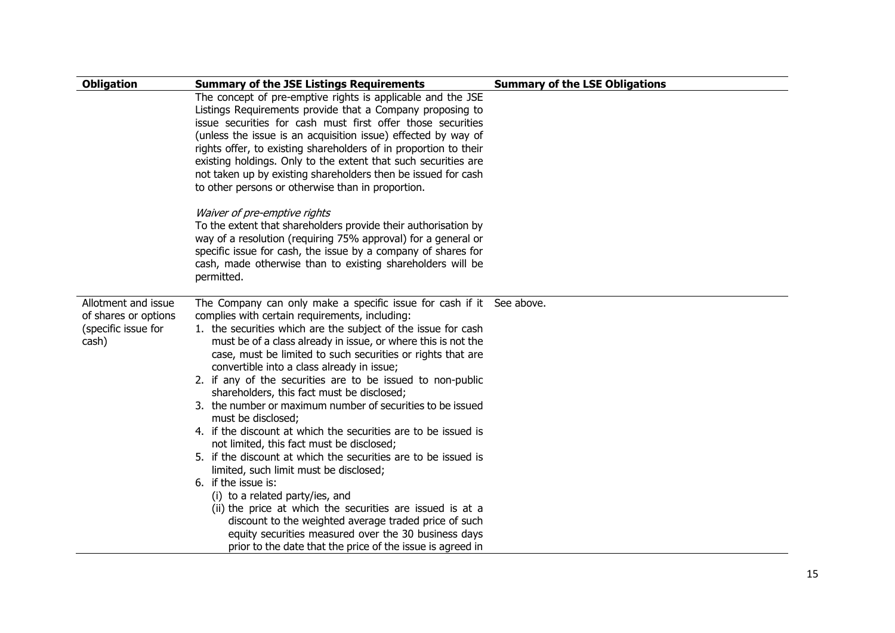| <b>Obligation</b>    | <b>Summary of the JSE Listings Requirements</b>                                                          | <b>Summary of the LSE Obligations</b> |
|----------------------|----------------------------------------------------------------------------------------------------------|---------------------------------------|
|                      | The concept of pre-emptive rights is applicable and the JSE                                              |                                       |
|                      | Listings Requirements provide that a Company proposing to                                                |                                       |
|                      | issue securities for cash must first offer those securities                                              |                                       |
|                      | (unless the issue is an acquisition issue) effected by way of                                            |                                       |
|                      | rights offer, to existing shareholders of in proportion to their                                         |                                       |
|                      | existing holdings. Only to the extent that such securities are                                           |                                       |
|                      | not taken up by existing shareholders then be issued for cash                                            |                                       |
|                      | to other persons or otherwise than in proportion.                                                        |                                       |
|                      | Waiver of pre-emptive rights                                                                             |                                       |
|                      | To the extent that shareholders provide their authorisation by                                           |                                       |
|                      | way of a resolution (requiring 75% approval) for a general or                                            |                                       |
|                      | specific issue for cash, the issue by a company of shares for                                            |                                       |
|                      | cash, made otherwise than to existing shareholders will be                                               |                                       |
|                      | permitted.                                                                                               |                                       |
| Allotment and issue  | The Company can only make a specific issue for cash if it See above.                                     |                                       |
| of shares or options | complies with certain requirements, including:                                                           |                                       |
| (specific issue for  | 1. the securities which are the subject of the issue for cash                                            |                                       |
| cash)                | must be of a class already in issue, or where this is not the                                            |                                       |
|                      | case, must be limited to such securities or rights that are                                              |                                       |
|                      | convertible into a class already in issue;                                                               |                                       |
|                      | 2. if any of the securities are to be issued to non-public                                               |                                       |
|                      | shareholders, this fact must be disclosed;<br>3. the number or maximum number of securities to be issued |                                       |
|                      | must be disclosed;                                                                                       |                                       |
|                      | 4. If the discount at which the securities are to be issued is                                           |                                       |
|                      | not limited, this fact must be disclosed;                                                                |                                       |
|                      | 5. If the discount at which the securities are to be issued is                                           |                                       |
|                      | limited, such limit must be disclosed;                                                                   |                                       |
|                      | 6. if the issue is:                                                                                      |                                       |
|                      | (i) to a related party/ies, and                                                                          |                                       |
|                      | (ii) the price at which the securities are issued is at a                                                |                                       |
|                      | discount to the weighted average traded price of such                                                    |                                       |
|                      | equity securities measured over the 30 business days                                                     |                                       |
|                      | prior to the date that the price of the issue is agreed in                                               |                                       |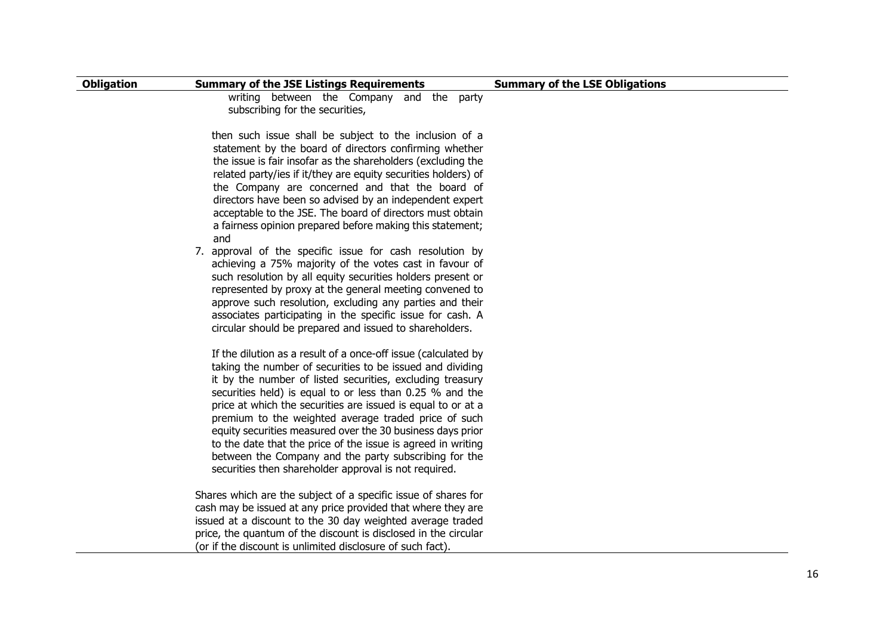| <b>Obligation</b> | <b>Summary of the JSE Listings Requirements</b>                                                                                                                                                                                                                                                                                                                                                                                                                                                                                                                                                                              | <b>Summary of the LSE Obligations</b> |
|-------------------|------------------------------------------------------------------------------------------------------------------------------------------------------------------------------------------------------------------------------------------------------------------------------------------------------------------------------------------------------------------------------------------------------------------------------------------------------------------------------------------------------------------------------------------------------------------------------------------------------------------------------|---------------------------------------|
|                   | writing between the Company and the party<br>subscribing for the securities,                                                                                                                                                                                                                                                                                                                                                                                                                                                                                                                                                 |                                       |
|                   | then such issue shall be subject to the inclusion of a<br>statement by the board of directors confirming whether<br>the issue is fair insofar as the shareholders (excluding the<br>related party/ies if it/they are equity securities holders) of<br>the Company are concerned and that the board of<br>directors have been so advised by an independent expert<br>acceptable to the JSE. The board of directors must obtain<br>a fairness opinion prepared before making this statement;<br>and                                                                                                                            |                                       |
|                   | 7. approval of the specific issue for cash resolution by<br>achieving a 75% majority of the votes cast in favour of<br>such resolution by all equity securities holders present or<br>represented by proxy at the general meeting convened to<br>approve such resolution, excluding any parties and their<br>associates participating in the specific issue for cash. A<br>circular should be prepared and issued to shareholders.                                                                                                                                                                                           |                                       |
|                   | If the dilution as a result of a once-off issue (calculated by<br>taking the number of securities to be issued and dividing<br>it by the number of listed securities, excluding treasury<br>securities held) is equal to or less than 0.25 % and the<br>price at which the securities are issued is equal to or at a<br>premium to the weighted average traded price of such<br>equity securities measured over the 30 business days prior<br>to the date that the price of the issue is agreed in writing<br>between the Company and the party subscribing for the<br>securities then shareholder approval is not required. |                                       |
|                   | Shares which are the subject of a specific issue of shares for<br>cash may be issued at any price provided that where they are<br>issued at a discount to the 30 day weighted average traded<br>price, the quantum of the discount is disclosed in the circular<br>(or if the discount is unlimited disclosure of such fact).                                                                                                                                                                                                                                                                                                |                                       |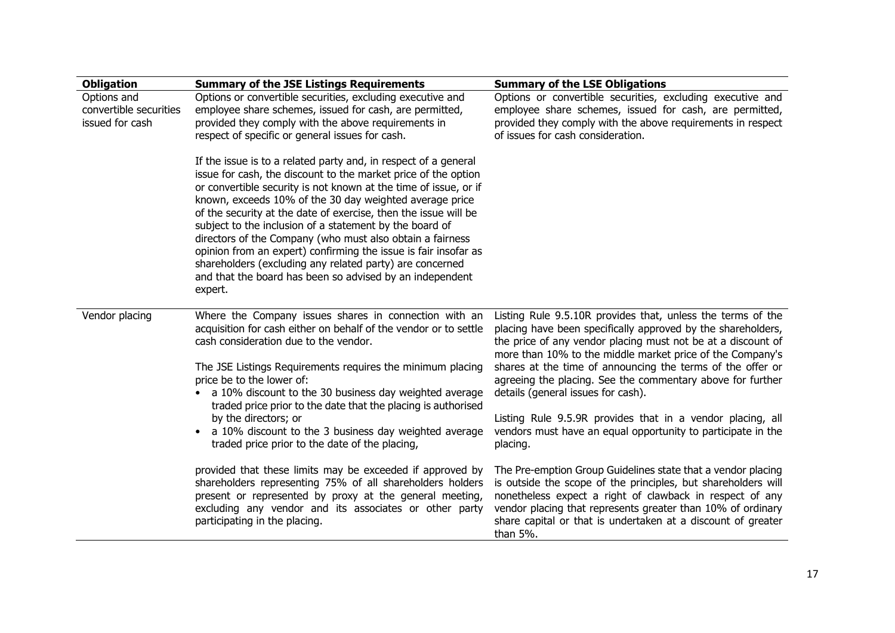| <b>Obligation</b>                                        | <b>Summary of the JSE Listings Requirements</b>                                                                                                                                                                                                                                                                                                                                                                                                                                                                                                                                                                                                                   | <b>Summary of the LSE Obligations</b>                                                                                                                                                                                                                                                                                                |
|----------------------------------------------------------|-------------------------------------------------------------------------------------------------------------------------------------------------------------------------------------------------------------------------------------------------------------------------------------------------------------------------------------------------------------------------------------------------------------------------------------------------------------------------------------------------------------------------------------------------------------------------------------------------------------------------------------------------------------------|--------------------------------------------------------------------------------------------------------------------------------------------------------------------------------------------------------------------------------------------------------------------------------------------------------------------------------------|
| Options and<br>convertible securities<br>issued for cash | Options or convertible securities, excluding executive and<br>employee share schemes, issued for cash, are permitted,<br>provided they comply with the above requirements in<br>respect of specific or general issues for cash.                                                                                                                                                                                                                                                                                                                                                                                                                                   | Options or convertible securities, excluding executive and<br>employee share schemes, issued for cash, are permitted,<br>provided they comply with the above requirements in respect<br>of issues for cash consideration.                                                                                                            |
|                                                          | If the issue is to a related party and, in respect of a general<br>issue for cash, the discount to the market price of the option<br>or convertible security is not known at the time of issue, or if<br>known, exceeds 10% of the 30 day weighted average price<br>of the security at the date of exercise, then the issue will be<br>subject to the inclusion of a statement by the board of<br>directors of the Company (who must also obtain a fairness<br>opinion from an expert) confirming the issue is fair insofar as<br>shareholders (excluding any related party) are concerned<br>and that the board has been so advised by an independent<br>expert. |                                                                                                                                                                                                                                                                                                                                      |
| Vendor placing                                           | Where the Company issues shares in connection with an<br>acquisition for cash either on behalf of the vendor or to settle<br>cash consideration due to the vendor.                                                                                                                                                                                                                                                                                                                                                                                                                                                                                                | Listing Rule 9.5.10R provides that, unless the terms of the<br>placing have been specifically approved by the shareholders,<br>the price of any vendor placing must not be at a discount of<br>more than 10% to the middle market price of the Company's                                                                             |
|                                                          | The JSE Listings Requirements requires the minimum placing<br>price be to the lower of:<br>a 10% discount to the 30 business day weighted average<br>traded price prior to the date that the placing is authorised                                                                                                                                                                                                                                                                                                                                                                                                                                                | shares at the time of announcing the terms of the offer or<br>agreeing the placing. See the commentary above for further<br>details (general issues for cash).                                                                                                                                                                       |
|                                                          | by the directors; or<br>a 10% discount to the 3 business day weighted average<br>$\bullet$<br>traded price prior to the date of the placing,                                                                                                                                                                                                                                                                                                                                                                                                                                                                                                                      | Listing Rule 9.5.9R provides that in a vendor placing, all<br>vendors must have an equal opportunity to participate in the<br>placing.                                                                                                                                                                                               |
|                                                          | provided that these limits may be exceeded if approved by<br>shareholders representing 75% of all shareholders holders<br>present or represented by proxy at the general meeting,<br>excluding any vendor and its associates or other party<br>participating in the placing.                                                                                                                                                                                                                                                                                                                                                                                      | The Pre-emption Group Guidelines state that a vendor placing<br>is outside the scope of the principles, but shareholders will<br>nonetheless expect a right of clawback in respect of any<br>vendor placing that represents greater than 10% of ordinary<br>share capital or that is undertaken at a discount of greater<br>than 5%. |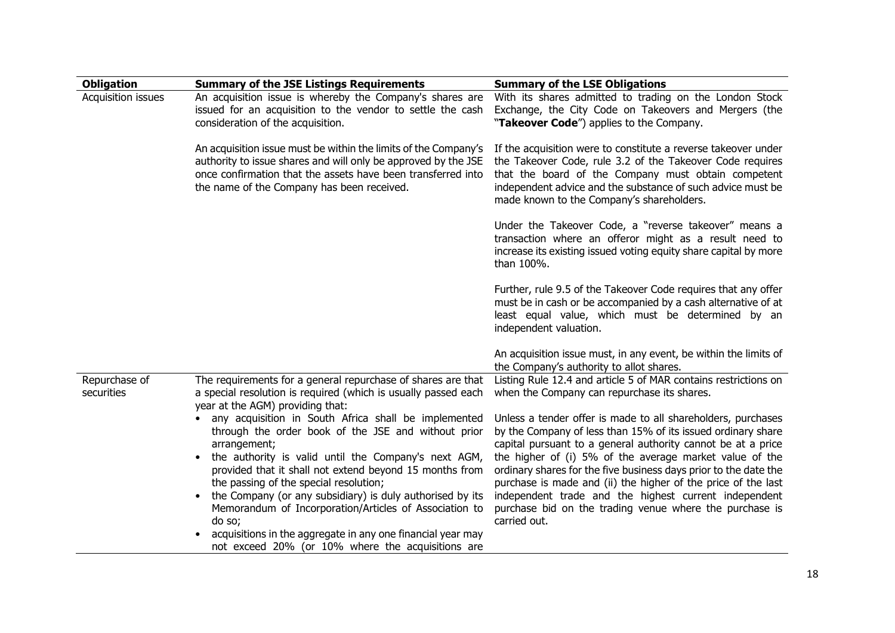| <b>Obligation</b>           | <b>Summary of the JSE Listings Requirements</b>                                                                                                                                                                                                 | <b>Summary of the LSE Obligations</b>                                                                                                                                                                                                                                                          |
|-----------------------------|-------------------------------------------------------------------------------------------------------------------------------------------------------------------------------------------------------------------------------------------------|------------------------------------------------------------------------------------------------------------------------------------------------------------------------------------------------------------------------------------------------------------------------------------------------|
| Acquisition issues          | An acquisition issue is whereby the Company's shares are<br>issued for an acquisition to the vendor to settle the cash<br>consideration of the acquisition.                                                                                     | With its shares admitted to trading on the London Stock<br>Exchange, the City Code on Takeovers and Mergers (the<br>"Takeover Code") applies to the Company.                                                                                                                                   |
|                             | An acquisition issue must be within the limits of the Company's<br>authority to issue shares and will only be approved by the JSE<br>once confirmation that the assets have been transferred into<br>the name of the Company has been received. | If the acquisition were to constitute a reverse takeover under<br>the Takeover Code, rule 3.2 of the Takeover Code requires<br>that the board of the Company must obtain competent<br>independent advice and the substance of such advice must be<br>made known to the Company's shareholders. |
|                             |                                                                                                                                                                                                                                                 | Under the Takeover Code, a "reverse takeover" means a<br>transaction where an offeror might as a result need to<br>increase its existing issued voting equity share capital by more<br>than 100%.                                                                                              |
|                             |                                                                                                                                                                                                                                                 | Further, rule 9.5 of the Takeover Code requires that any offer<br>must be in cash or be accompanied by a cash alternative of at<br>least equal value, which must be determined by an<br>independent valuation.                                                                                 |
|                             |                                                                                                                                                                                                                                                 | An acquisition issue must, in any event, be within the limits of<br>the Company's authority to allot shares.                                                                                                                                                                                   |
| Repurchase of<br>securities | The requirements for a general repurchase of shares are that<br>a special resolution is required (which is usually passed each<br>year at the AGM) providing that:                                                                              | Listing Rule 12.4 and article 5 of MAR contains restrictions on<br>when the Company can repurchase its shares.                                                                                                                                                                                 |
|                             | any acquisition in South Africa shall be implemented<br>through the order book of the JSE and without prior<br>arrangement;                                                                                                                     | Unless a tender offer is made to all shareholders, purchases<br>by the Company of less than 15% of its issued ordinary share<br>capital pursuant to a general authority cannot be at a price                                                                                                   |
|                             | the authority is valid until the Company's next AGM,<br>provided that it shall not extend beyond 15 months from<br>the passing of the special resolution;                                                                                       | the higher of (i) 5% of the average market value of the<br>ordinary shares for the five business days prior to the date the<br>purchase is made and (ii) the higher of the price of the last                                                                                                   |
|                             | the Company (or any subsidiary) is duly authorised by its<br>Memorandum of Incorporation/Articles of Association to<br>do so;                                                                                                                   | independent trade and the highest current independent<br>purchase bid on the trading venue where the purchase is<br>carried out.                                                                                                                                                               |
|                             | acquisitions in the aggregate in any one financial year may<br>not exceed 20% (or 10% where the acquisitions are                                                                                                                                |                                                                                                                                                                                                                                                                                                |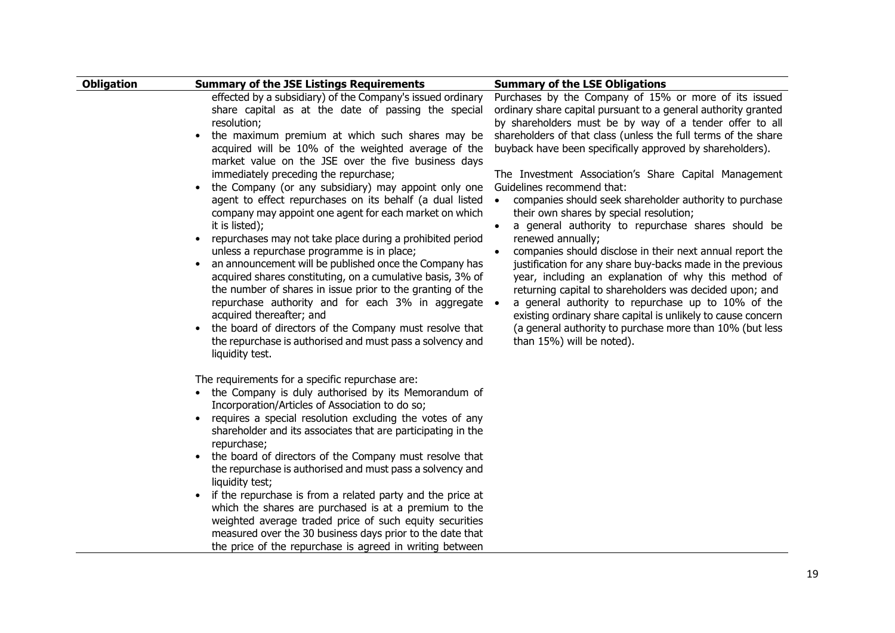| <b>Obligation</b> | <b>Summary of the JSE Listings Requirements</b>                                                                                                                                                                                                                                                                                                                                                                                                                                                                                                                                                                                                                                                                                                                                                                                                                                                                                                                                                                                                                                                                                                                                                                                                                                                                                                                                                                                                                                                                                                                                                                                                                                                                                                                                                                      | <b>Summary of the LSE Obligations</b>                                                                                                                                                                                                                                                                                                                                                                                                                                                                                                                                                                                                                                                                                                                                                                                                                                                                                                                                                                                                                                            |
|-------------------|----------------------------------------------------------------------------------------------------------------------------------------------------------------------------------------------------------------------------------------------------------------------------------------------------------------------------------------------------------------------------------------------------------------------------------------------------------------------------------------------------------------------------------------------------------------------------------------------------------------------------------------------------------------------------------------------------------------------------------------------------------------------------------------------------------------------------------------------------------------------------------------------------------------------------------------------------------------------------------------------------------------------------------------------------------------------------------------------------------------------------------------------------------------------------------------------------------------------------------------------------------------------------------------------------------------------------------------------------------------------------------------------------------------------------------------------------------------------------------------------------------------------------------------------------------------------------------------------------------------------------------------------------------------------------------------------------------------------------------------------------------------------------------------------------------------------|----------------------------------------------------------------------------------------------------------------------------------------------------------------------------------------------------------------------------------------------------------------------------------------------------------------------------------------------------------------------------------------------------------------------------------------------------------------------------------------------------------------------------------------------------------------------------------------------------------------------------------------------------------------------------------------------------------------------------------------------------------------------------------------------------------------------------------------------------------------------------------------------------------------------------------------------------------------------------------------------------------------------------------------------------------------------------------|
|                   | effected by a subsidiary) of the Company's issued ordinary<br>share capital as at the date of passing the special<br>resolution;<br>the maximum premium at which such shares may be<br>$\bullet$<br>acquired will be 10% of the weighted average of the<br>market value on the JSE over the five business days<br>immediately preceding the repurchase;<br>the Company (or any subsidiary) may appoint only one<br>agent to effect repurchases on its behalf (a dual listed<br>company may appoint one agent for each market on which<br>it is listed);<br>repurchases may not take place during a prohibited period<br>unless a repurchase programme is in place;<br>an announcement will be published once the Company has<br>acquired shares constituting, on a cumulative basis, 3% of<br>the number of shares in issue prior to the granting of the<br>repurchase authority and for each 3% in aggregate •<br>acquired thereafter; and<br>the board of directors of the Company must resolve that<br>$\bullet$<br>the repurchase is authorised and must pass a solvency and<br>liquidity test.<br>The requirements for a specific repurchase are:<br>• the Company is duly authorised by its Memorandum of<br>Incorporation/Articles of Association to do so;<br>requires a special resolution excluding the votes of any<br>$\bullet$<br>shareholder and its associates that are participating in the<br>repurchase;<br>the board of directors of the Company must resolve that<br>the repurchase is authorised and must pass a solvency and<br>liquidity test;<br>if the repurchase is from a related party and the price at<br>which the shares are purchased is at a premium to the<br>weighted average traded price of such equity securities<br>measured over the 30 business days prior to the date that | Purchases by the Company of 15% or more of its issued<br>ordinary share capital pursuant to a general authority granted<br>by shareholders must be by way of a tender offer to all<br>shareholders of that class (unless the full terms of the share<br>buyback have been specifically approved by shareholders).<br>The Investment Association's Share Capital Management<br>Guidelines recommend that:<br>companies should seek shareholder authority to purchase<br>their own shares by special resolution;<br>a general authority to repurchase shares should be<br>$\bullet$<br>renewed annually;<br>companies should disclose in their next annual report the<br>$\bullet$<br>justification for any share buy-backs made in the previous<br>year, including an explanation of why this method of<br>returning capital to shareholders was decided upon; and<br>a general authority to repurchase up to 10% of the<br>existing ordinary share capital is unlikely to cause concern<br>(a general authority to purchase more than 10% (but less<br>than 15%) will be noted). |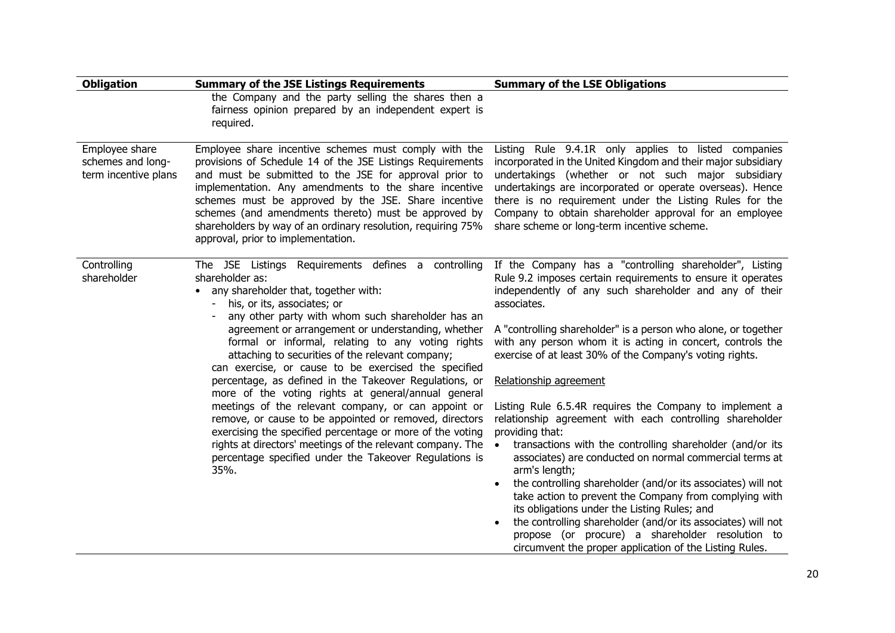| <b>Obligation</b>                                           | <b>Summary of the JSE Listings Requirements</b>                                                                                                                                                                                                                                                                                                                                                                                                                                                                                            | <b>Summary of the LSE Obligations</b>                                                                                                                                                                                                                                                                                                                                                                                                                                                                                                                                                                                                                 |
|-------------------------------------------------------------|--------------------------------------------------------------------------------------------------------------------------------------------------------------------------------------------------------------------------------------------------------------------------------------------------------------------------------------------------------------------------------------------------------------------------------------------------------------------------------------------------------------------------------------------|-------------------------------------------------------------------------------------------------------------------------------------------------------------------------------------------------------------------------------------------------------------------------------------------------------------------------------------------------------------------------------------------------------------------------------------------------------------------------------------------------------------------------------------------------------------------------------------------------------------------------------------------------------|
|                                                             | the Company and the party selling the shares then a<br>fairness opinion prepared by an independent expert is<br>required.                                                                                                                                                                                                                                                                                                                                                                                                                  |                                                                                                                                                                                                                                                                                                                                                                                                                                                                                                                                                                                                                                                       |
| Employee share<br>schemes and long-<br>term incentive plans | Employee share incentive schemes must comply with the<br>provisions of Schedule 14 of the JSE Listings Requirements<br>and must be submitted to the JSE for approval prior to<br>implementation. Any amendments to the share incentive<br>schemes must be approved by the JSE. Share incentive<br>schemes (and amendments thereto) must be approved by<br>shareholders by way of an ordinary resolution, requiring 75%<br>approval, prior to implementation.                                                                               | Listing Rule 9.4.1R only applies to listed companies<br>incorporated in the United Kingdom and their major subsidiary<br>undertakings (whether or not such major subsidiary<br>undertakings are incorporated or operate overseas). Hence<br>there is no requirement under the Listing Rules for the<br>Company to obtain shareholder approval for an employee<br>share scheme or long-term incentive scheme.                                                                                                                                                                                                                                          |
| Controlling<br>shareholder                                  | The JSE Listings Requirements defines a controlling<br>shareholder as:<br>any shareholder that, together with:<br>his, or its, associates; or<br>any other party with whom such shareholder has an<br>agreement or arrangement or understanding, whether<br>formal or informal, relating to any voting rights<br>attaching to securities of the relevant company;<br>can exercise, or cause to be exercised the specified<br>percentage, as defined in the Takeover Regulations, or<br>more of the voting rights at general/annual general | If the Company has a "controlling shareholder", Listing<br>Rule 9.2 imposes certain requirements to ensure it operates<br>independently of any such shareholder and any of their<br>associates.<br>A "controlling shareholder" is a person who alone, or together<br>with any person whom it is acting in concert, controls the<br>exercise of at least 30% of the Company's voting rights.<br>Relationship agreement                                                                                                                                                                                                                                 |
|                                                             | meetings of the relevant company, or can appoint or<br>remove, or cause to be appointed or removed, directors<br>exercising the specified percentage or more of the voting<br>rights at directors' meetings of the relevant company. The<br>percentage specified under the Takeover Regulations is<br>35%.                                                                                                                                                                                                                                 | Listing Rule 6.5.4R requires the Company to implement a<br>relationship agreement with each controlling shareholder<br>providing that:<br>transactions with the controlling shareholder (and/or its<br>$\bullet$<br>associates) are conducted on normal commercial terms at<br>arm's length;<br>the controlling shareholder (and/or its associates) will not<br>take action to prevent the Company from complying with<br>its obligations under the Listing Rules; and<br>the controlling shareholder (and/or its associates) will not<br>propose (or procure) a shareholder resolution to<br>circumvent the proper application of the Listing Rules. |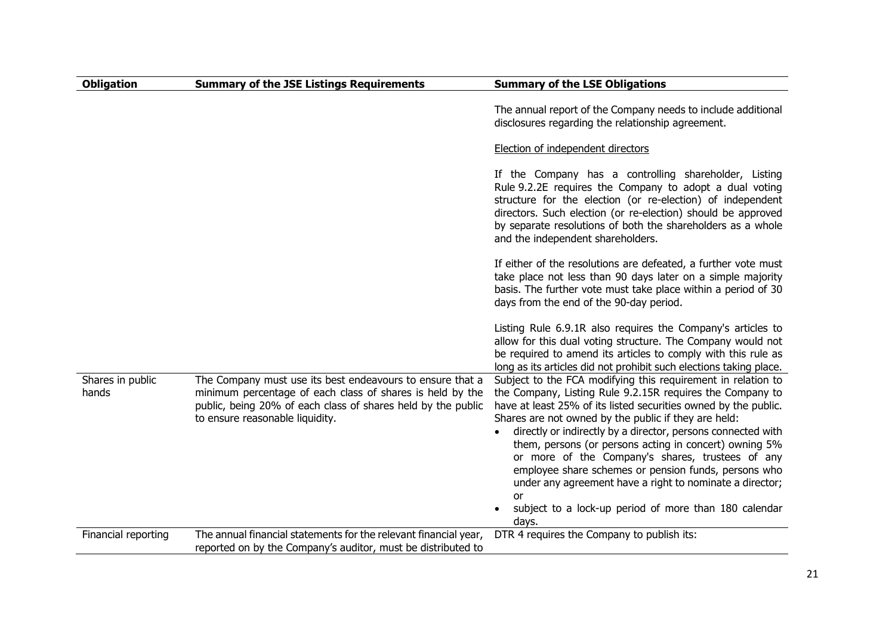| <b>Obligation</b>         | <b>Summary of the JSE Listings Requirements</b>                                                                                                                                                                           | <b>Summary of the LSE Obligations</b>                                                                                                                                                                                                                                                                                                                                                                                                                                                                                                                                                                                                       |
|---------------------------|---------------------------------------------------------------------------------------------------------------------------------------------------------------------------------------------------------------------------|---------------------------------------------------------------------------------------------------------------------------------------------------------------------------------------------------------------------------------------------------------------------------------------------------------------------------------------------------------------------------------------------------------------------------------------------------------------------------------------------------------------------------------------------------------------------------------------------------------------------------------------------|
|                           |                                                                                                                                                                                                                           | The annual report of the Company needs to include additional<br>disclosures regarding the relationship agreement.                                                                                                                                                                                                                                                                                                                                                                                                                                                                                                                           |
|                           |                                                                                                                                                                                                                           | Election of independent directors                                                                                                                                                                                                                                                                                                                                                                                                                                                                                                                                                                                                           |
|                           |                                                                                                                                                                                                                           | If the Company has a controlling shareholder, Listing<br>Rule 9.2.2E requires the Company to adopt a dual voting<br>structure for the election (or re-election) of independent<br>directors. Such election (or re-election) should be approved<br>by separate resolutions of both the shareholders as a whole<br>and the independent shareholders.                                                                                                                                                                                                                                                                                          |
|                           |                                                                                                                                                                                                                           | If either of the resolutions are defeated, a further vote must<br>take place not less than 90 days later on a simple majority<br>basis. The further vote must take place within a period of 30<br>days from the end of the 90-day period.                                                                                                                                                                                                                                                                                                                                                                                                   |
|                           |                                                                                                                                                                                                                           | Listing Rule 6.9.1R also requires the Company's articles to<br>allow for this dual voting structure. The Company would not<br>be required to amend its articles to comply with this rule as<br>long as its articles did not prohibit such elections taking place.                                                                                                                                                                                                                                                                                                                                                                           |
| Shares in public<br>hands | The Company must use its best endeavours to ensure that a<br>minimum percentage of each class of shares is held by the<br>public, being 20% of each class of shares held by the public<br>to ensure reasonable liquidity. | Subject to the FCA modifying this requirement in relation to<br>the Company, Listing Rule 9.2.15R requires the Company to<br>have at least 25% of its listed securities owned by the public.<br>Shares are not owned by the public if they are held:<br>directly or indirectly by a director, persons connected with<br>$\bullet$<br>them, persons (or persons acting in concert) owning 5%<br>or more of the Company's shares, trustees of any<br>employee share schemes or pension funds, persons who<br>under any agreement have a right to nominate a director;<br>or<br>subject to a lock-up period of more than 180 calendar<br>days. |
| Financial reporting       | The annual financial statements for the relevant financial year,<br>reported on by the Company's auditor, must be distributed to                                                                                          | DTR 4 requires the Company to publish its:                                                                                                                                                                                                                                                                                                                                                                                                                                                                                                                                                                                                  |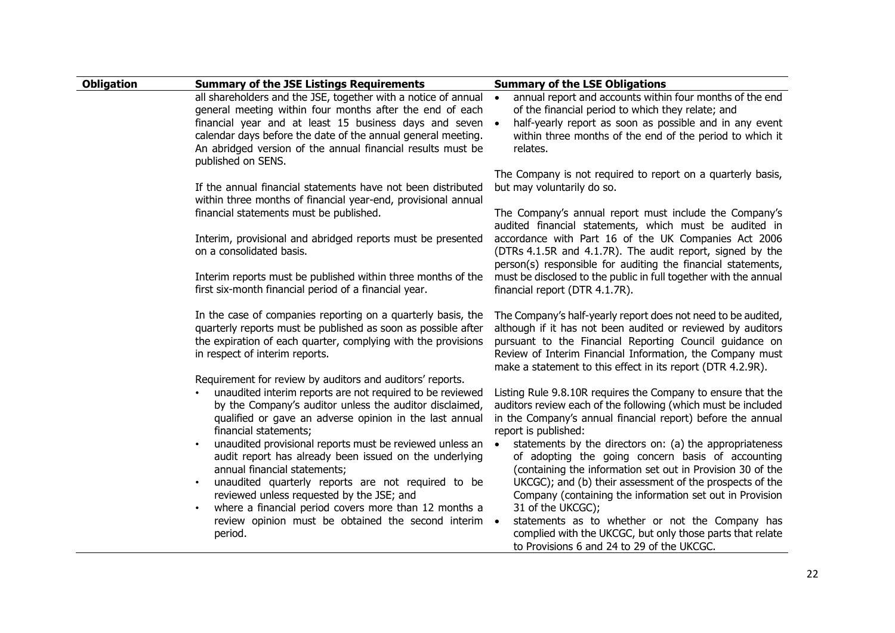| <b>Obligation</b> | <b>Summary of the JSE Listings Requirements</b>                                                                                                                                                                                                                                                                                                                                                                                                                                                                                                                                         | <b>Summary of the LSE Obligations</b>                                                                                                                                                                                                                                                                                                                                                                                                                                                                                                                        |
|-------------------|-----------------------------------------------------------------------------------------------------------------------------------------------------------------------------------------------------------------------------------------------------------------------------------------------------------------------------------------------------------------------------------------------------------------------------------------------------------------------------------------------------------------------------------------------------------------------------------------|--------------------------------------------------------------------------------------------------------------------------------------------------------------------------------------------------------------------------------------------------------------------------------------------------------------------------------------------------------------------------------------------------------------------------------------------------------------------------------------------------------------------------------------------------------------|
|                   | all shareholders and the JSE, together with a notice of annual<br>general meeting within four months after the end of each<br>financial year and at least 15 business days and seven<br>calendar days before the date of the annual general meeting.<br>An abridged version of the annual financial results must be<br>published on SENS.                                                                                                                                                                                                                                               | annual report and accounts within four months of the end<br>of the financial period to which they relate; and<br>half-yearly report as soon as possible and in any event<br>within three months of the end of the period to which it<br>relates.                                                                                                                                                                                                                                                                                                             |
|                   | If the annual financial statements have not been distributed<br>within three months of financial year-end, provisional annual<br>financial statements must be published.<br>Interim, provisional and abridged reports must be presented                                                                                                                                                                                                                                                                                                                                                 | The Company is not required to report on a quarterly basis,<br>but may voluntarily do so.<br>The Company's annual report must include the Company's<br>audited financial statements, which must be audited in<br>accordance with Part 16 of the UK Companies Act 2006                                                                                                                                                                                                                                                                                        |
|                   | on a consolidated basis.<br>Interim reports must be published within three months of the<br>first six-month financial period of a financial year.                                                                                                                                                                                                                                                                                                                                                                                                                                       | (DTRs 4.1.5R and 4.1.7R). The audit report, signed by the<br>person(s) responsible for auditing the financial statements,<br>must be disclosed to the public in full together with the annual<br>financial report (DTR 4.1.7R).                                                                                                                                                                                                                                                                                                                              |
|                   | In the case of companies reporting on a quarterly basis, the<br>quarterly reports must be published as soon as possible after<br>the expiration of each quarter, complying with the provisions<br>in respect of interim reports.                                                                                                                                                                                                                                                                                                                                                        | The Company's half-yearly report does not need to be audited,<br>although if it has not been audited or reviewed by auditors<br>pursuant to the Financial Reporting Council guidance on<br>Review of Interim Financial Information, the Company must<br>make a statement to this effect in its report (DTR 4.2.9R).                                                                                                                                                                                                                                          |
|                   | Requirement for review by auditors and auditors' reports.<br>unaudited interim reports are not required to be reviewed<br>by the Company's auditor unless the auditor disclaimed,<br>qualified or gave an adverse opinion in the last annual<br>financial statements;<br>unaudited provisional reports must be reviewed unless an<br>audit report has already been issued on the underlying<br>annual financial statements;<br>unaudited quarterly reports are not required to be<br>reviewed unless requested by the JSE; and<br>where a financial period covers more than 12 months a | Listing Rule 9.8.10R requires the Company to ensure that the<br>auditors review each of the following (which must be included<br>in the Company's annual financial report) before the annual<br>report is published:<br>statements by the directors on: (a) the appropriateness<br>$\bullet$<br>of adopting the going concern basis of accounting<br>(containing the information set out in Provision 30 of the<br>UKCGC); and (b) their assessment of the prospects of the<br>Company (containing the information set out in Provision<br>31 of the UKCGC); |
|                   | review opinion must be obtained the second interim .<br>period.                                                                                                                                                                                                                                                                                                                                                                                                                                                                                                                         | statements as to whether or not the Company has<br>complied with the UKCGC, but only those parts that relate<br>to Provisions 6 and 24 to 29 of the UKCGC.                                                                                                                                                                                                                                                                                                                                                                                                   |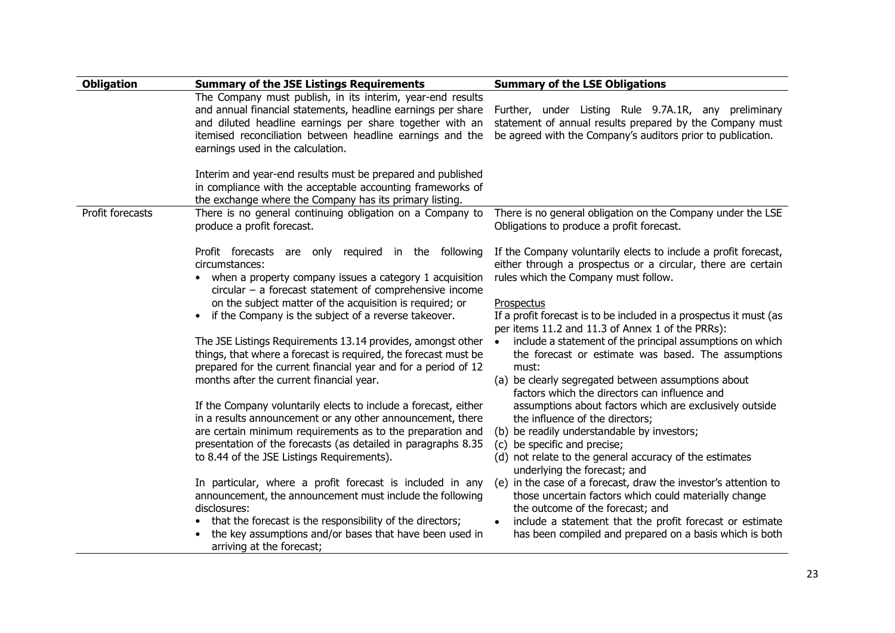| <b>Obligation</b> | <b>Summary of the JSE Listings Requirements</b>                                                                                                                                                                                                                                                                                                                                                                                                                                                                                                                                                                                                                                                                                                                                                                                                                                                                                                                                                                                                                                                                                                                                | <b>Summary of the LSE Obligations</b>                                                                                                                                                                                                                                                                                                                                                                                                                                                                                                                                                                                                                                                                                                                                                                                                                                                                                                                                                                                                                                                                                            |
|-------------------|--------------------------------------------------------------------------------------------------------------------------------------------------------------------------------------------------------------------------------------------------------------------------------------------------------------------------------------------------------------------------------------------------------------------------------------------------------------------------------------------------------------------------------------------------------------------------------------------------------------------------------------------------------------------------------------------------------------------------------------------------------------------------------------------------------------------------------------------------------------------------------------------------------------------------------------------------------------------------------------------------------------------------------------------------------------------------------------------------------------------------------------------------------------------------------|----------------------------------------------------------------------------------------------------------------------------------------------------------------------------------------------------------------------------------------------------------------------------------------------------------------------------------------------------------------------------------------------------------------------------------------------------------------------------------------------------------------------------------------------------------------------------------------------------------------------------------------------------------------------------------------------------------------------------------------------------------------------------------------------------------------------------------------------------------------------------------------------------------------------------------------------------------------------------------------------------------------------------------------------------------------------------------------------------------------------------------|
|                   | The Company must publish, in its interim, year-end results<br>and annual financial statements, headline earnings per share<br>and diluted headline earnings per share together with an<br>itemised reconciliation between headline earnings and the<br>earnings used in the calculation.                                                                                                                                                                                                                                                                                                                                                                                                                                                                                                                                                                                                                                                                                                                                                                                                                                                                                       | Further, under Listing Rule 9.7A.1R, any preliminary<br>statement of annual results prepared by the Company must<br>be agreed with the Company's auditors prior to publication.                                                                                                                                                                                                                                                                                                                                                                                                                                                                                                                                                                                                                                                                                                                                                                                                                                                                                                                                                  |
|                   | Interim and year-end results must be prepared and published<br>in compliance with the acceptable accounting frameworks of<br>the exchange where the Company has its primary listing.                                                                                                                                                                                                                                                                                                                                                                                                                                                                                                                                                                                                                                                                                                                                                                                                                                                                                                                                                                                           |                                                                                                                                                                                                                                                                                                                                                                                                                                                                                                                                                                                                                                                                                                                                                                                                                                                                                                                                                                                                                                                                                                                                  |
| Profit forecasts  | There is no general continuing obligation on a Company to<br>produce a profit forecast.                                                                                                                                                                                                                                                                                                                                                                                                                                                                                                                                                                                                                                                                                                                                                                                                                                                                                                                                                                                                                                                                                        | There is no general obligation on the Company under the LSE<br>Obligations to produce a profit forecast.                                                                                                                                                                                                                                                                                                                                                                                                                                                                                                                                                                                                                                                                                                                                                                                                                                                                                                                                                                                                                         |
|                   | Profit forecasts are only required in the following<br>circumstances:<br>when a property company issues a category 1 acquisition<br>$circular - a forecast statement of comprehensive income$<br>on the subject matter of the acquisition is required; or<br>if the Company is the subject of a reverse takeover.<br>The JSE Listings Requirements 13.14 provides, amongst other<br>things, that where a forecast is required, the forecast must be<br>prepared for the current financial year and for a period of 12<br>months after the current financial year.<br>If the Company voluntarily elects to include a forecast, either<br>in a results announcement or any other announcement, there<br>are certain minimum requirements as to the preparation and<br>presentation of the forecasts (as detailed in paragraphs 8.35<br>to 8.44 of the JSE Listings Requirements).<br>In particular, where a profit forecast is included in any<br>announcement, the announcement must include the following<br>disclosures:<br>that the forecast is the responsibility of the directors;<br>the key assumptions and/or bases that have been used in<br>arriving at the forecast; | If the Company voluntarily elects to include a profit forecast,<br>either through a prospectus or a circular, there are certain<br>rules which the Company must follow.<br>Prospectus<br>If a profit forecast is to be included in a prospectus it must (as<br>per items 11.2 and 11.3 of Annex 1 of the PRRs):<br>include a statement of the principal assumptions on which<br>the forecast or estimate was based. The assumptions<br>must:<br>(a) be clearly segregated between assumptions about<br>factors which the directors can influence and<br>assumptions about factors which are exclusively outside<br>the influence of the directors;<br>(b) be readily understandable by investors;<br>(c) be specific and precise;<br>(d) not relate to the general accuracy of the estimates<br>underlying the forecast; and<br>(e) in the case of a forecast, draw the investor's attention to<br>those uncertain factors which could materially change<br>the outcome of the forecast; and<br>include a statement that the profit forecast or estimate<br>$\bullet$<br>has been compiled and prepared on a basis which is both |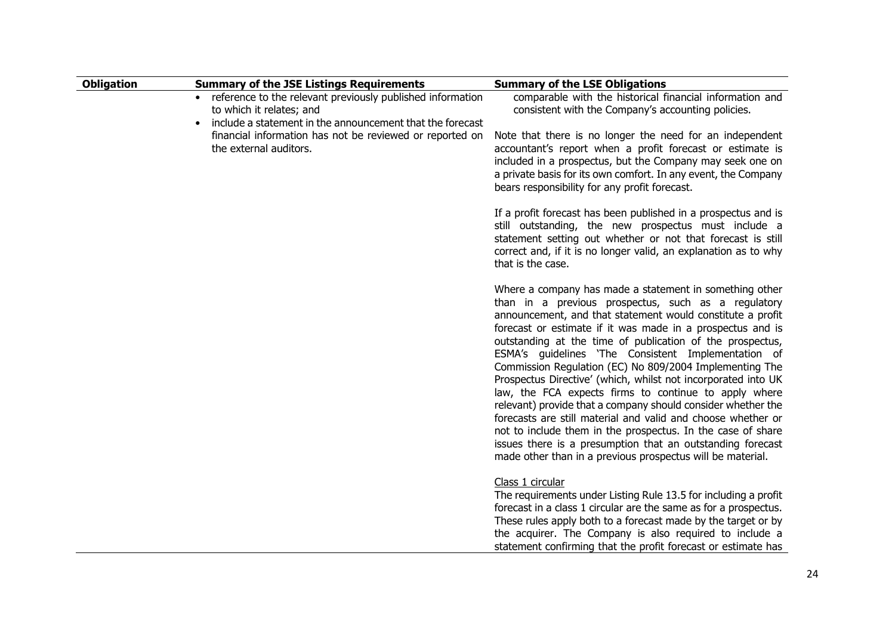| <b>Obligation</b> | <b>Summary of the JSE Listings Requirements</b>                                                                                                     | <b>Summary of the LSE Obligations</b>                                                                                                                                                                                                                                                                                                                                                                                                                                                                                                                                                                                                                                                                                                                                                                                                                                          |
|-------------------|-----------------------------------------------------------------------------------------------------------------------------------------------------|--------------------------------------------------------------------------------------------------------------------------------------------------------------------------------------------------------------------------------------------------------------------------------------------------------------------------------------------------------------------------------------------------------------------------------------------------------------------------------------------------------------------------------------------------------------------------------------------------------------------------------------------------------------------------------------------------------------------------------------------------------------------------------------------------------------------------------------------------------------------------------|
|                   | reference to the relevant previously published information<br>to which it relates; and<br>include a statement in the announcement that the forecast | comparable with the historical financial information and<br>consistent with the Company's accounting policies.                                                                                                                                                                                                                                                                                                                                                                                                                                                                                                                                                                                                                                                                                                                                                                 |
|                   | financial information has not be reviewed or reported on<br>the external auditors.                                                                  | Note that there is no longer the need for an independent<br>accountant's report when a profit forecast or estimate is<br>included in a prospectus, but the Company may seek one on<br>a private basis for its own comfort. In any event, the Company<br>bears responsibility for any profit forecast.                                                                                                                                                                                                                                                                                                                                                                                                                                                                                                                                                                          |
|                   |                                                                                                                                                     | If a profit forecast has been published in a prospectus and is<br>still outstanding, the new prospectus must include a<br>statement setting out whether or not that forecast is still<br>correct and, if it is no longer valid, an explanation as to why<br>that is the case.                                                                                                                                                                                                                                                                                                                                                                                                                                                                                                                                                                                                  |
|                   |                                                                                                                                                     | Where a company has made a statement in something other<br>than in a previous prospectus, such as a regulatory<br>announcement, and that statement would constitute a profit<br>forecast or estimate if it was made in a prospectus and is<br>outstanding at the time of publication of the prospectus,<br>ESMA's guidelines 'The Consistent Implementation of<br>Commission Regulation (EC) No 809/2004 Implementing The<br>Prospectus Directive' (which, whilst not incorporated into UK<br>law, the FCA expects firms to continue to apply where<br>relevant) provide that a company should consider whether the<br>forecasts are still material and valid and choose whether or<br>not to include them in the prospectus. In the case of share<br>issues there is a presumption that an outstanding forecast<br>made other than in a previous prospectus will be material. |
|                   |                                                                                                                                                     | Class 1 circular<br>The requirements under Listing Rule 13.5 for including a profit<br>forecast in a class 1 circular are the same as for a prospectus.<br>These rules apply both to a forecast made by the target or by<br>the acquirer. The Company is also required to include a<br>statement confirming that the profit forecast or estimate has                                                                                                                                                                                                                                                                                                                                                                                                                                                                                                                           |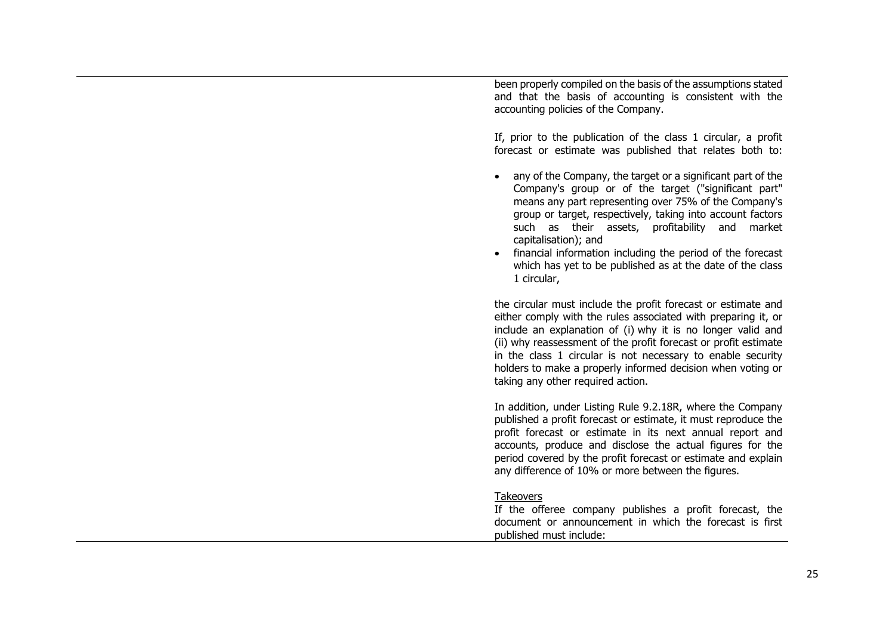been properly compiled on the basis of the assumptions stated and that the basis of accounting is consistent with the accounting policies of the Company.

If, prior to the publication of the class 1 circular, a profit forecast or estimate was published that relates both to:

- any of the Company, the target or a significant part of the Company's group or of the target ("significant part" means any part representing over 75% of the Company's group or target, respectively, taking into account factors such as their assets, profitability and market capitalisation); and
- financial information including the period of the forecast which has yet to be published as at the date of the class 1 circular,

the circular must include the profit forecast or estimate and either comply with the rules associated with preparing it, or include an explanation of (i) why it is no longer valid and (ii) why reassessment of the profit forecast or profit estimate in the class 1 circular is not necessary to enable security holders to make a properly informed decision when voting or taking any other required action.

In addition, under Listing Rule 9.2.18R, where the Company published a profit forecast or estimate, it must reproduce the profit forecast or estimate in its next annual report and accounts, produce and disclose the actual figures for the period covered by the profit forecast or estimate and explain any difference of 10% or more between the figures.

## Takeovers

If the offeree company publishes a profit forecast, the document or announcement in which the forecast is first published must include: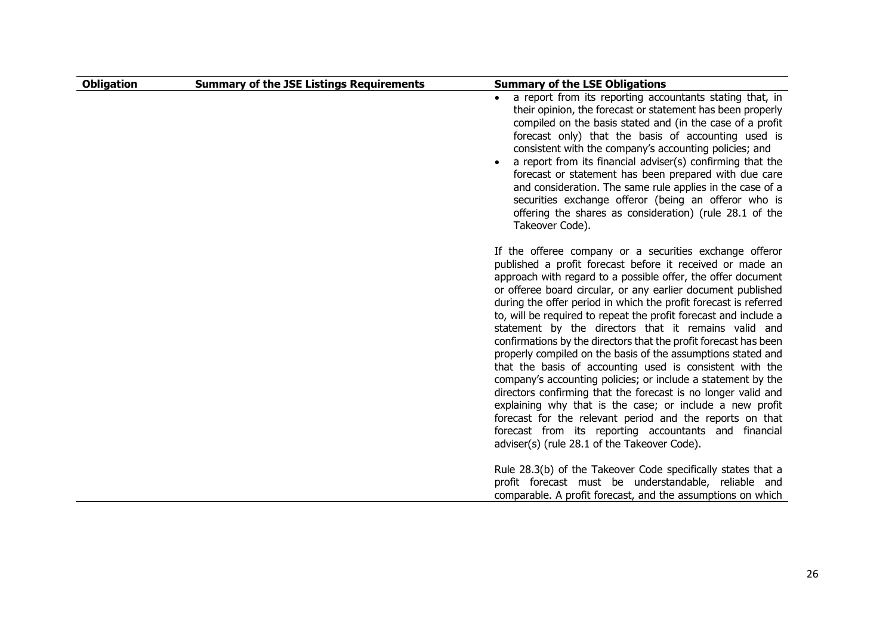| <b>Obligation</b> | <b>Summary of the JSE Listings Requirements</b> | <b>Summary of the LSE Obligations</b>                                                                                                                                                                                                                                                                                                                                                                                                                                                                                                                                                                                                                                                                                                                                                                                                                                                                                                                                                                                  |
|-------------------|-------------------------------------------------|------------------------------------------------------------------------------------------------------------------------------------------------------------------------------------------------------------------------------------------------------------------------------------------------------------------------------------------------------------------------------------------------------------------------------------------------------------------------------------------------------------------------------------------------------------------------------------------------------------------------------------------------------------------------------------------------------------------------------------------------------------------------------------------------------------------------------------------------------------------------------------------------------------------------------------------------------------------------------------------------------------------------|
|                   |                                                 | a report from its reporting accountants stating that, in<br>their opinion, the forecast or statement has been properly<br>compiled on the basis stated and (in the case of a profit<br>forecast only) that the basis of accounting used is<br>consistent with the company's accounting policies; and<br>a report from its financial adviser(s) confirming that the<br>forecast or statement has been prepared with due care<br>and consideration. The same rule applies in the case of a<br>securities exchange offeror (being an offeror who is<br>offering the shares as consideration) (rule 28.1 of the<br>Takeover Code).                                                                                                                                                                                                                                                                                                                                                                                         |
|                   |                                                 | If the offeree company or a securities exchange offeror<br>published a profit forecast before it received or made an<br>approach with regard to a possible offer, the offer document<br>or offeree board circular, or any earlier document published<br>during the offer period in which the profit forecast is referred<br>to, will be required to repeat the profit forecast and include a<br>statement by the directors that it remains valid and<br>confirmations by the directors that the profit forecast has been<br>properly compiled on the basis of the assumptions stated and<br>that the basis of accounting used is consistent with the<br>company's accounting policies; or include a statement by the<br>directors confirming that the forecast is no longer valid and<br>explaining why that is the case; or include a new profit<br>forecast for the relevant period and the reports on that<br>forecast from its reporting accountants and financial<br>adviser(s) (rule 28.1 of the Takeover Code). |
|                   |                                                 | Rule 28.3(b) of the Takeover Code specifically states that a<br>profit forecast must be understandable, reliable and<br>comparable. A profit forecast, and the assumptions on which                                                                                                                                                                                                                                                                                                                                                                                                                                                                                                                                                                                                                                                                                                                                                                                                                                    |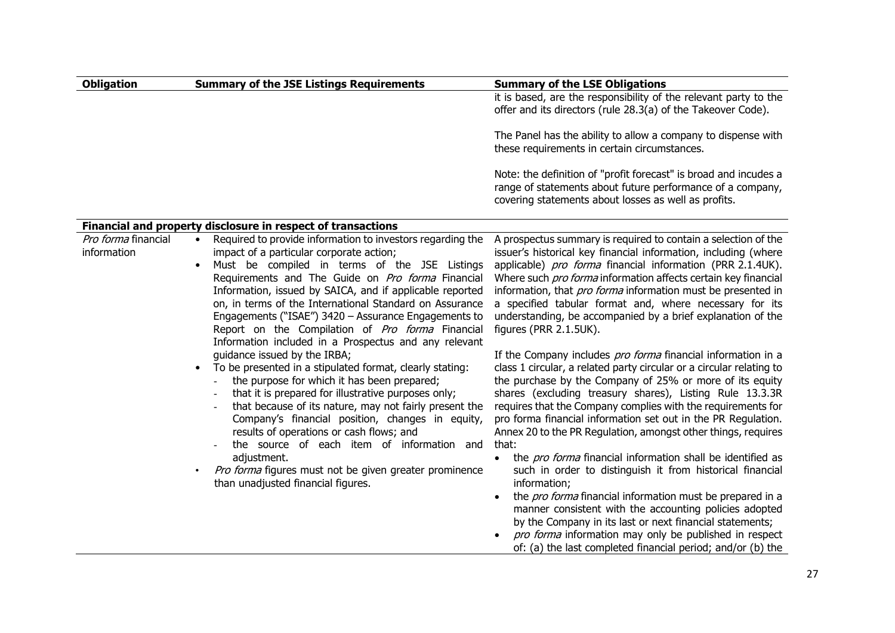| <b>Summary of the JSE Listings Requirements</b>                                                                                                                                                                                                                                                                                                                                                                                                                                                                                    | <b>Summary of the LSE Obligations</b>                                                                                                                                                                                                                                                                                                                                                                                                                                                                                                                                                                                                                                                                                                                                                                                                                                                                                                       |
|------------------------------------------------------------------------------------------------------------------------------------------------------------------------------------------------------------------------------------------------------------------------------------------------------------------------------------------------------------------------------------------------------------------------------------------------------------------------------------------------------------------------------------|---------------------------------------------------------------------------------------------------------------------------------------------------------------------------------------------------------------------------------------------------------------------------------------------------------------------------------------------------------------------------------------------------------------------------------------------------------------------------------------------------------------------------------------------------------------------------------------------------------------------------------------------------------------------------------------------------------------------------------------------------------------------------------------------------------------------------------------------------------------------------------------------------------------------------------------------|
|                                                                                                                                                                                                                                                                                                                                                                                                                                                                                                                                    | it is based, are the responsibility of the relevant party to the<br>offer and its directors (rule 28.3(a) of the Takeover Code).                                                                                                                                                                                                                                                                                                                                                                                                                                                                                                                                                                                                                                                                                                                                                                                                            |
|                                                                                                                                                                                                                                                                                                                                                                                                                                                                                                                                    | The Panel has the ability to allow a company to dispense with<br>these requirements in certain circumstances.                                                                                                                                                                                                                                                                                                                                                                                                                                                                                                                                                                                                                                                                                                                                                                                                                               |
|                                                                                                                                                                                                                                                                                                                                                                                                                                                                                                                                    | Note: the definition of "profit forecast" is broad and incudes a<br>range of statements about future performance of a company,<br>covering statements about losses as well as profits.                                                                                                                                                                                                                                                                                                                                                                                                                                                                                                                                                                                                                                                                                                                                                      |
|                                                                                                                                                                                                                                                                                                                                                                                                                                                                                                                                    |                                                                                                                                                                                                                                                                                                                                                                                                                                                                                                                                                                                                                                                                                                                                                                                                                                                                                                                                             |
| Required to provide information to investors regarding the<br>$\bullet$<br>impact of a particular corporate action;<br>Must be compiled in terms of the JSE Listings<br>$\bullet$<br>Requirements and The Guide on Pro forma Financial<br>Information, issued by SAICA, and if applicable reported<br>on, in terms of the International Standard on Assurance<br>Engagements ("ISAE") 3420 - Assurance Engagements to<br>Report on the Compilation of Pro forma Financial                                                          | A prospectus summary is required to contain a selection of the<br>issuer's historical key financial information, including (where<br>applicable) pro forma financial information (PRR 2.1.4UK).<br>Where such pro forma information affects certain key financial<br>information, that pro forma information must be presented in<br>a specified tabular format and, where necessary for its<br>understanding, be accompanied by a brief explanation of the<br>figures (PRR 2.1.5UK).                                                                                                                                                                                                                                                                                                                                                                                                                                                       |
| guidance issued by the IRBA;<br>To be presented in a stipulated format, clearly stating:<br>$\bullet$<br>the purpose for which it has been prepared;<br>that it is prepared for illustrative purposes only;<br>that because of its nature, may not fairly present the<br>Company's financial position, changes in equity,<br>results of operations or cash flows; and<br>the source of each item of information and<br>adjustment.<br>Pro forma figures must not be given greater prominence<br>than unadjusted financial figures. | If the Company includes pro forma financial information in a<br>class 1 circular, a related party circular or a circular relating to<br>the purchase by the Company of 25% or more of its equity<br>shares (excluding treasury shares), Listing Rule 13.3.3R<br>requires that the Company complies with the requirements for<br>pro forma financial information set out in the PR Regulation.<br>Annex 20 to the PR Regulation, amongst other things, requires<br>that:<br>the pro forma financial information shall be identified as<br>$\bullet$<br>such in order to distinguish it from historical financial<br>information;<br>the pro forma financial information must be prepared in a<br>manner consistent with the accounting policies adopted<br>by the Company in its last or next financial statements;<br>pro forma information may only be published in respect<br>of: (a) the last completed financial period; and/or (b) the |
|                                                                                                                                                                                                                                                                                                                                                                                                                                                                                                                                    | Financial and property disclosure in respect of transactions<br>Information included in a Prospectus and any relevant                                                                                                                                                                                                                                                                                                                                                                                                                                                                                                                                                                                                                                                                                                                                                                                                                       |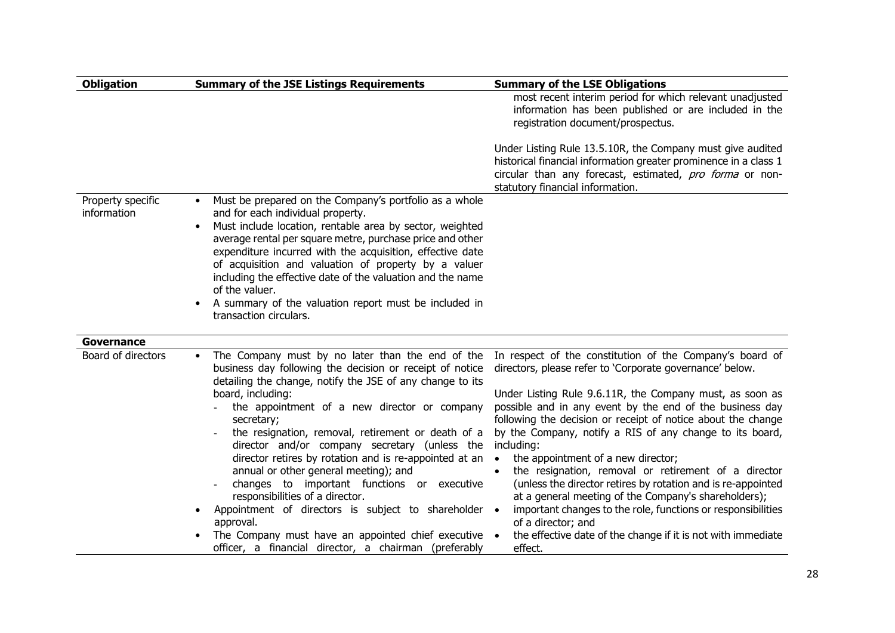| <b>Obligation</b>                | <b>Summary of the JSE Listings Requirements</b>                                                                                                                                                                                                                                                                                                                                                                                                                                                                                                     | <b>Summary of the LSE Obligations</b>                                                                                                                                                                                                                                                                                                                                                                                                     |  |
|----------------------------------|-----------------------------------------------------------------------------------------------------------------------------------------------------------------------------------------------------------------------------------------------------------------------------------------------------------------------------------------------------------------------------------------------------------------------------------------------------------------------------------------------------------------------------------------------------|-------------------------------------------------------------------------------------------------------------------------------------------------------------------------------------------------------------------------------------------------------------------------------------------------------------------------------------------------------------------------------------------------------------------------------------------|--|
|                                  |                                                                                                                                                                                                                                                                                                                                                                                                                                                                                                                                                     | most recent interim period for which relevant unadjusted<br>information has been published or are included in the<br>registration document/prospectus.                                                                                                                                                                                                                                                                                    |  |
|                                  |                                                                                                                                                                                                                                                                                                                                                                                                                                                                                                                                                     | Under Listing Rule 13.5.10R, the Company must give audited<br>historical financial information greater prominence in a class 1<br>circular than any forecast, estimated, pro forma or non-<br>statutory financial information.                                                                                                                                                                                                            |  |
| Property specific<br>information | Must be prepared on the Company's portfolio as a whole<br>$\bullet$<br>and for each individual property.<br>Must include location, rentable area by sector, weighted<br>$\bullet$<br>average rental per square metre, purchase price and other<br>expenditure incurred with the acquisition, effective date<br>of acquisition and valuation of property by a valuer<br>including the effective date of the valuation and the name<br>of the valuer.<br>A summary of the valuation report must be included in<br>$\bullet$<br>transaction circulars. |                                                                                                                                                                                                                                                                                                                                                                                                                                           |  |
| Governance                       |                                                                                                                                                                                                                                                                                                                                                                                                                                                                                                                                                     |                                                                                                                                                                                                                                                                                                                                                                                                                                           |  |
| Board of directors               | The Company must by no later than the end of the<br>$\bullet$<br>business day following the decision or receipt of notice<br>detailing the change, notify the JSE of any change to its<br>board, including:<br>the appointment of a new director or company<br>secretary;<br>the resignation, removal, retirement or death of a<br>director and/or company secretary (unless the<br>director retires by rotation and is re-appointed at an                                                                                                          | In respect of the constitution of the Company's board of<br>directors, please refer to 'Corporate governance' below.<br>Under Listing Rule 9.6.11R, the Company must, as soon as<br>possible and in any event by the end of the business day<br>following the decision or receipt of notice about the change<br>by the Company, notify a RIS of any change to its board,<br>including:<br>the appointment of a new director;<br>$\bullet$ |  |
|                                  | annual or other general meeting); and<br>changes to important functions or executive<br>responsibilities of a director.<br>Appointment of directors is subject to shareholder •<br>$\bullet$<br>approval.<br>The Company must have an appointed chief executive .<br>officer, a financial director, a chairman (preferably                                                                                                                                                                                                                          | the resignation, removal or retirement of a director<br>$\bullet$<br>(unless the director retires by rotation and is re-appointed<br>at a general meeting of the Company's shareholders);<br>important changes to the role, functions or responsibilities<br>of a director; and<br>the effective date of the change if it is not with immediate<br>effect.                                                                                |  |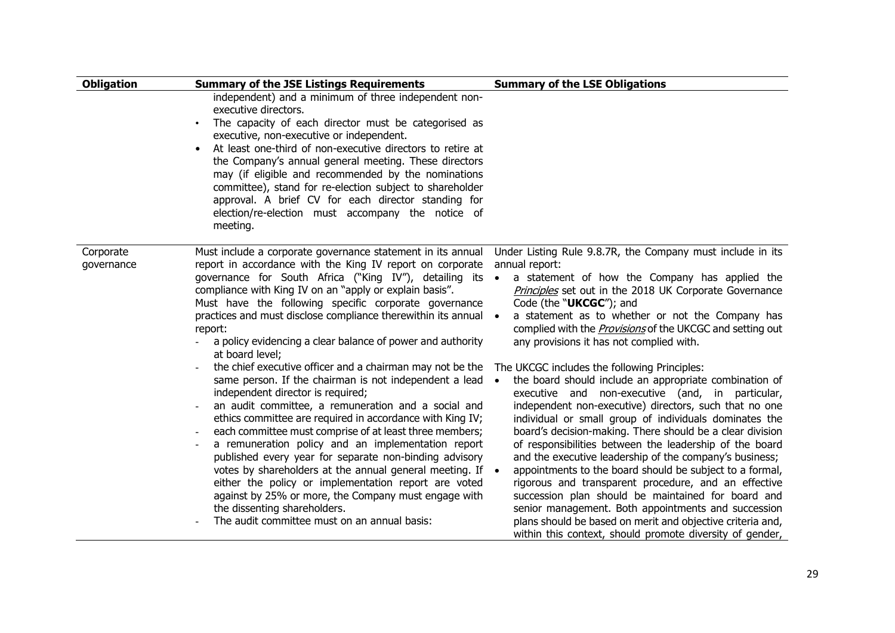| <b>Obligation</b>       | <b>Summary of the JSE Listings Requirements</b>                                                                                                                                                                                                                                                                                                                                                                                                                                                                                                                                                                                                                                                                                                                                                                                                                                                                                                                                                                                                                                                                                                                                               | <b>Summary of the LSE Obligations</b>                                                                                                                                                                                                                                                                                                                                                                                                                                                                                                                                                                                                                                                                                                                                                                                                                                                                                                                                                                                                                                                                                                                                                                                                             |  |
|-------------------------|-----------------------------------------------------------------------------------------------------------------------------------------------------------------------------------------------------------------------------------------------------------------------------------------------------------------------------------------------------------------------------------------------------------------------------------------------------------------------------------------------------------------------------------------------------------------------------------------------------------------------------------------------------------------------------------------------------------------------------------------------------------------------------------------------------------------------------------------------------------------------------------------------------------------------------------------------------------------------------------------------------------------------------------------------------------------------------------------------------------------------------------------------------------------------------------------------|---------------------------------------------------------------------------------------------------------------------------------------------------------------------------------------------------------------------------------------------------------------------------------------------------------------------------------------------------------------------------------------------------------------------------------------------------------------------------------------------------------------------------------------------------------------------------------------------------------------------------------------------------------------------------------------------------------------------------------------------------------------------------------------------------------------------------------------------------------------------------------------------------------------------------------------------------------------------------------------------------------------------------------------------------------------------------------------------------------------------------------------------------------------------------------------------------------------------------------------------------|--|
|                         | independent) and a minimum of three independent non-<br>executive directors.<br>The capacity of each director must be categorised as<br>$\bullet$<br>executive, non-executive or independent.<br>At least one-third of non-executive directors to retire at<br>$\bullet$<br>the Company's annual general meeting. These directors<br>may (if eligible and recommended by the nominations<br>committee), stand for re-election subject to shareholder<br>approval. A brief CV for each director standing for<br>election/re-election must accompany the notice of<br>meeting.                                                                                                                                                                                                                                                                                                                                                                                                                                                                                                                                                                                                                  |                                                                                                                                                                                                                                                                                                                                                                                                                                                                                                                                                                                                                                                                                                                                                                                                                                                                                                                                                                                                                                                                                                                                                                                                                                                   |  |
| Corporate<br>governance | Must include a corporate governance statement in its annual<br>report in accordance with the King IV report on corporate<br>governance for South Africa ("King IV"), detailing its<br>compliance with King IV on an "apply or explain basis".<br>Must have the following specific corporate governance<br>practices and must disclose compliance therewithin its annual •<br>report:<br>a policy evidencing a clear balance of power and authority<br>at board level;<br>the chief executive officer and a chairman may not be the<br>same person. If the chairman is not independent a lead<br>independent director is required;<br>an audit committee, a remuneration and a social and<br>ethics committee are required in accordance with King IV;<br>each committee must comprise of at least three members;<br>a remuneration policy and an implementation report<br>published every year for separate non-binding advisory<br>votes by shareholders at the annual general meeting. If •<br>either the policy or implementation report are voted<br>against by 25% or more, the Company must engage with<br>the dissenting shareholders.<br>The audit committee must on an annual basis: | Under Listing Rule 9.8.7R, the Company must include in its<br>annual report:<br>a statement of how the Company has applied the<br>$\bullet$<br>Principles set out in the 2018 UK Corporate Governance<br>Code (the "UKCGC"); and<br>a statement as to whether or not the Company has<br>complied with the <b>Provisions</b> of the UKCGC and setting out<br>any provisions it has not complied with.<br>The UKCGC includes the following Principles:<br>the board should include an appropriate combination of<br>$\bullet$<br>executive and non-executive (and, in particular,<br>independent non-executive) directors, such that no one<br>individual or small group of individuals dominates the<br>board's decision-making. There should be a clear division<br>of responsibilities between the leadership of the board<br>and the executive leadership of the company's business;<br>appointments to the board should be subject to a formal,<br>rigorous and transparent procedure, and an effective<br>succession plan should be maintained for board and<br>senior management. Both appointments and succession<br>plans should be based on merit and objective criteria and,<br>within this context, should promote diversity of gender, |  |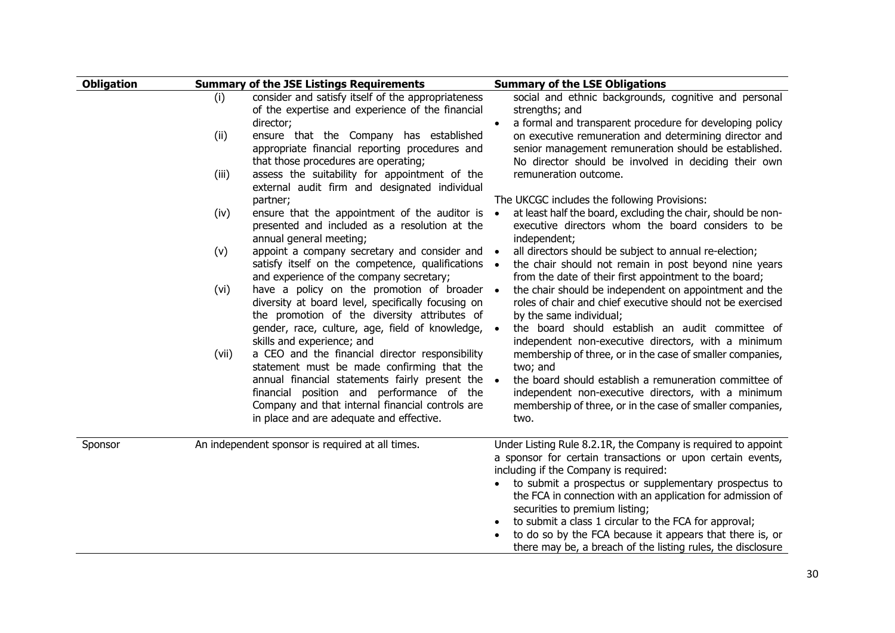| <b>Obligation</b> |       | <b>Summary of the JSE Listings Requirements</b>                                                                                                                                                                                                  | <b>Summary of the LSE Obligations</b>                                                                                                                                                                                                                                                                                                                                                               |
|-------------------|-------|--------------------------------------------------------------------------------------------------------------------------------------------------------------------------------------------------------------------------------------------------|-----------------------------------------------------------------------------------------------------------------------------------------------------------------------------------------------------------------------------------------------------------------------------------------------------------------------------------------------------------------------------------------------------|
|                   | (i)   | consider and satisfy itself of the appropriateness<br>of the expertise and experience of the financial<br>director;                                                                                                                              | social and ethnic backgrounds, cognitive and personal<br>strengths; and<br>a formal and transparent procedure for developing policy<br>$\bullet$                                                                                                                                                                                                                                                    |
|                   | (ii)  | ensure that the Company has established<br>appropriate financial reporting procedures and<br>that those procedures are operating;                                                                                                                | on executive remuneration and determining director and<br>senior management remuneration should be established.<br>No director should be involved in deciding their own                                                                                                                                                                                                                             |
|                   | (iii) | assess the suitability for appointment of the<br>external audit firm and designated individual<br>partner;                                                                                                                                       | remuneration outcome.<br>The UKCGC includes the following Provisions:                                                                                                                                                                                                                                                                                                                               |
|                   | (iv)  | ensure that the appointment of the auditor is<br>presented and included as a resolution at the<br>annual general meeting;                                                                                                                        | at least half the board, excluding the chair, should be non-<br>$\bullet$<br>executive directors whom the board considers to be<br>independent;                                                                                                                                                                                                                                                     |
|                   | (v)   | appoint a company secretary and consider and<br>satisfy itself on the competence, qualifications .<br>and experience of the company secretary;                                                                                                   | all directors should be subject to annual re-election;<br>$\bullet$<br>the chair should not remain in post beyond nine years<br>from the date of their first appointment to the board;                                                                                                                                                                                                              |
|                   | (vi)  | have a policy on the promotion of broader .<br>diversity at board level, specifically focusing on<br>the promotion of the diversity attributes of<br>gender, race, culture, age, field of knowledge,<br>skills and experience; and               | the chair should be independent on appointment and the<br>roles of chair and chief executive should not be exercised<br>by the same individual;<br>the board should establish an audit committee of<br>independent non-executive directors, with a minimum                                                                                                                                          |
|                   | (vii) | a CEO and the financial director responsibility<br>statement must be made confirming that the<br>annual financial statements fairly present the<br>financial position and performance of the<br>Company and that internal financial controls are | membership of three, or in the case of smaller companies,<br>two; and<br>the board should establish a remuneration committee of<br>$\bullet$<br>independent non-executive directors, with a minimum<br>membership of three, or in the case of smaller companies,                                                                                                                                    |
|                   |       | in place and are adequate and effective.                                                                                                                                                                                                         | two.                                                                                                                                                                                                                                                                                                                                                                                                |
| Sponsor           |       | An independent sponsor is required at all times.                                                                                                                                                                                                 | Under Listing Rule 8.2.1R, the Company is required to appoint<br>a sponsor for certain transactions or upon certain events,<br>including if the Company is required:<br>to submit a prospectus or supplementary prospectus to<br>$\bullet$<br>the FCA in connection with an application for admission of<br>securities to premium listing;<br>to submit a class 1 circular to the FCA for approval; |
|                   |       |                                                                                                                                                                                                                                                  | to do so by the FCA because it appears that there is, or<br>there may be, a breach of the listing rules, the disclosure                                                                                                                                                                                                                                                                             |